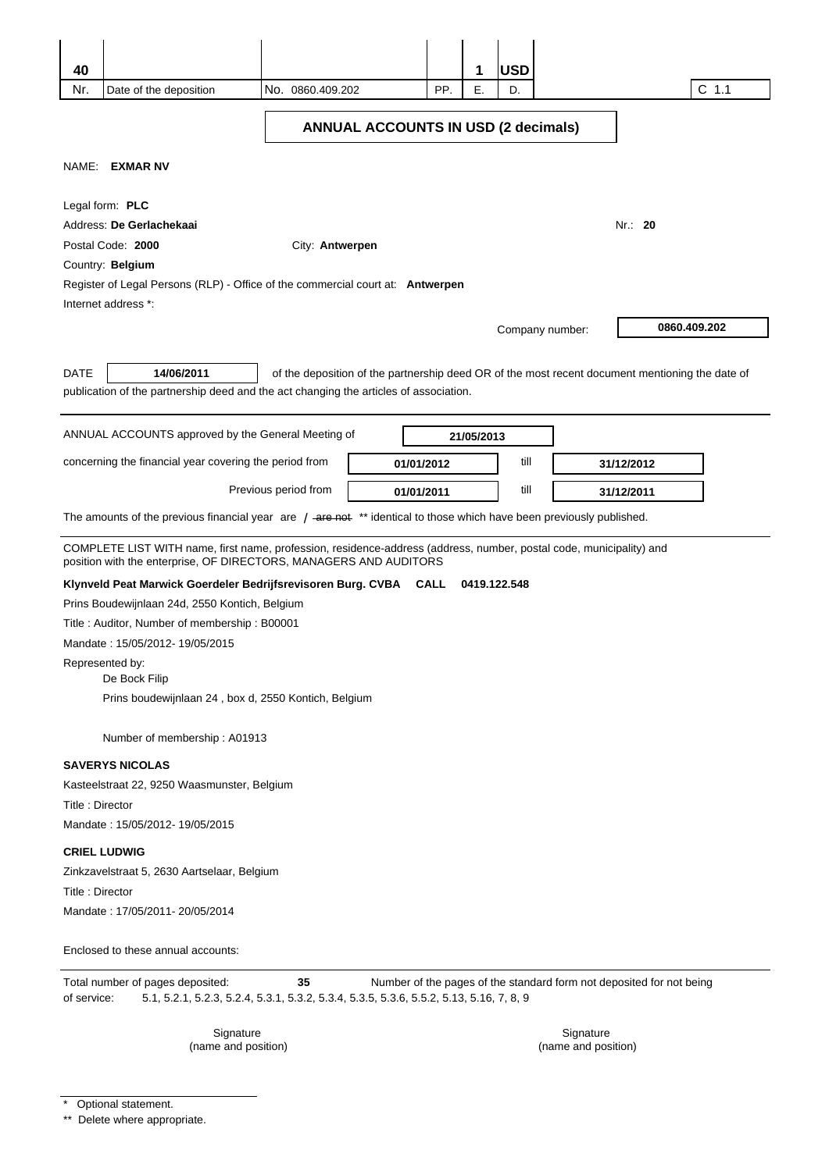| 40                                         |                                                                                                                                                                                          |                      |            |     | 1            | <b>USD</b> |                 |                                                                                                 |  |
|--------------------------------------------|------------------------------------------------------------------------------------------------------------------------------------------------------------------------------------------|----------------------|------------|-----|--------------|------------|-----------------|-------------------------------------------------------------------------------------------------|--|
| Nr.                                        | Date of the deposition                                                                                                                                                                   | No. 0860.409.202     |            | PP. | Е.           | D.         |                 | $C$ 1.1                                                                                         |  |
|                                            |                                                                                                                                                                                          |                      |            |     |              |            |                 |                                                                                                 |  |
| <b>ANNUAL ACCOUNTS IN USD (2 decimals)</b> |                                                                                                                                                                                          |                      |            |     |              |            |                 |                                                                                                 |  |
| NAME:                                      | <b>EXMAR NV</b>                                                                                                                                                                          |                      |            |     |              |            |                 |                                                                                                 |  |
|                                            |                                                                                                                                                                                          |                      |            |     |              |            |                 |                                                                                                 |  |
|                                            | Legal form: PLC                                                                                                                                                                          |                      |            |     |              |            |                 |                                                                                                 |  |
| Address: De Gerlachekaai<br>Nr.: 20        |                                                                                                                                                                                          |                      |            |     |              |            |                 |                                                                                                 |  |
| Postal Code: 2000<br>City: Antwerpen       |                                                                                                                                                                                          |                      |            |     |              |            |                 |                                                                                                 |  |
|                                            | Country: Belgium                                                                                                                                                                         |                      |            |     |              |            |                 |                                                                                                 |  |
|                                            | Register of Legal Persons (RLP) - Office of the commercial court at: <b>Antwerpen</b>                                                                                                    |                      |            |     |              |            |                 |                                                                                                 |  |
|                                            | Internet address *:                                                                                                                                                                      |                      |            |     |              |            |                 |                                                                                                 |  |
|                                            |                                                                                                                                                                                          |                      |            |     |              |            | Company number: | 0860.409.202                                                                                    |  |
|                                            |                                                                                                                                                                                          |                      |            |     |              |            |                 |                                                                                                 |  |
| DATE                                       | 14/06/2011                                                                                                                                                                               |                      |            |     |              |            |                 | of the deposition of the partnership deed OR of the most recent document mentioning the date of |  |
|                                            | publication of the partnership deed and the act changing the articles of association.                                                                                                    |                      |            |     |              |            |                 |                                                                                                 |  |
|                                            |                                                                                                                                                                                          |                      |            |     |              |            |                 |                                                                                                 |  |
|                                            | ANNUAL ACCOUNTS approved by the General Meeting of                                                                                                                                       |                      |            |     | 21/05/2013   |            |                 |                                                                                                 |  |
|                                            | concerning the financial year covering the period from                                                                                                                                   |                      | 01/01/2012 |     |              | till       |                 | 31/12/2012                                                                                      |  |
|                                            |                                                                                                                                                                                          |                      |            |     |              |            |                 |                                                                                                 |  |
|                                            |                                                                                                                                                                                          | Previous period from | 01/01/2011 |     |              | till       |                 | 31/12/2011                                                                                      |  |
|                                            | The amounts of the previous financial year are $/$ -are net $*$ identical to those which have been previously published.                                                                 |                      |            |     |              |            |                 |                                                                                                 |  |
|                                            | COMPLETE LIST WITH name, first name, profession, residence-address (address, number, postal code, municipality) and<br>position with the enterprise, OF DIRECTORS, MANAGERS AND AUDITORS |                      |            |     |              |            |                 |                                                                                                 |  |
|                                            | Klynveld Peat Marwick Goerdeler Bedrijfsrevisoren Burg. CVBA CALL                                                                                                                        |                      |            |     | 0419.122.548 |            |                 |                                                                                                 |  |
|                                            | Prins Boudewijnlaan 24d, 2550 Kontich, Belgium                                                                                                                                           |                      |            |     |              |            |                 |                                                                                                 |  |
|                                            | Title: Auditor, Number of membership: B00001                                                                                                                                             |                      |            |     |              |            |                 |                                                                                                 |  |
|                                            | Mandate: 15/05/2012-19/05/2015                                                                                                                                                           |                      |            |     |              |            |                 |                                                                                                 |  |
|                                            | Represented by:                                                                                                                                                                          |                      |            |     |              |            |                 |                                                                                                 |  |
|                                            | De Bock Filip                                                                                                                                                                            |                      |            |     |              |            |                 |                                                                                                 |  |
|                                            | Prins boudewijnlaan 24, box d, 2550 Kontich, Belgium                                                                                                                                     |                      |            |     |              |            |                 |                                                                                                 |  |
|                                            | Number of membership: A01913                                                                                                                                                             |                      |            |     |              |            |                 |                                                                                                 |  |
|                                            | <b>SAVERYS NICOLAS</b>                                                                                                                                                                   |                      |            |     |              |            |                 |                                                                                                 |  |
|                                            | Kasteelstraat 22, 9250 Waasmunster, Belgium                                                                                                                                              |                      |            |     |              |            |                 |                                                                                                 |  |
| Title: Director                            |                                                                                                                                                                                          |                      |            |     |              |            |                 |                                                                                                 |  |
|                                            | Mandate: 15/05/2012-19/05/2015                                                                                                                                                           |                      |            |     |              |            |                 |                                                                                                 |  |
|                                            | <b>CRIEL LUDWIG</b>                                                                                                                                                                      |                      |            |     |              |            |                 |                                                                                                 |  |
|                                            | Zinkzavelstraat 5, 2630 Aartselaar, Belgium                                                                                                                                              |                      |            |     |              |            |                 |                                                                                                 |  |
| Title: Director                            |                                                                                                                                                                                          |                      |            |     |              |            |                 |                                                                                                 |  |
|                                            | Mandate: 17/05/2011-20/05/2014                                                                                                                                                           |                      |            |     |              |            |                 |                                                                                                 |  |
|                                            |                                                                                                                                                                                          |                      |            |     |              |            |                 |                                                                                                 |  |
|                                            | Enclosed to these annual accounts:                                                                                                                                                       |                      |            |     |              |            |                 |                                                                                                 |  |
|                                            | Total number of pages deposited:                                                                                                                                                         | 35                   |            |     |              |            |                 | Number of the pages of the standard form not deposited for not being                            |  |
| of service:                                | 5.1, 5.2.1, 5.2.3, 5.2.4, 5.3.1, 5.3.2, 5.3.4, 5.3.5, 5.3.6, 5.5.2, 5.13, 5.16, 7, 8, 9                                                                                                  |                      |            |     |              |            |                 |                                                                                                 |  |

Signature (name and position)

Signature (name and position)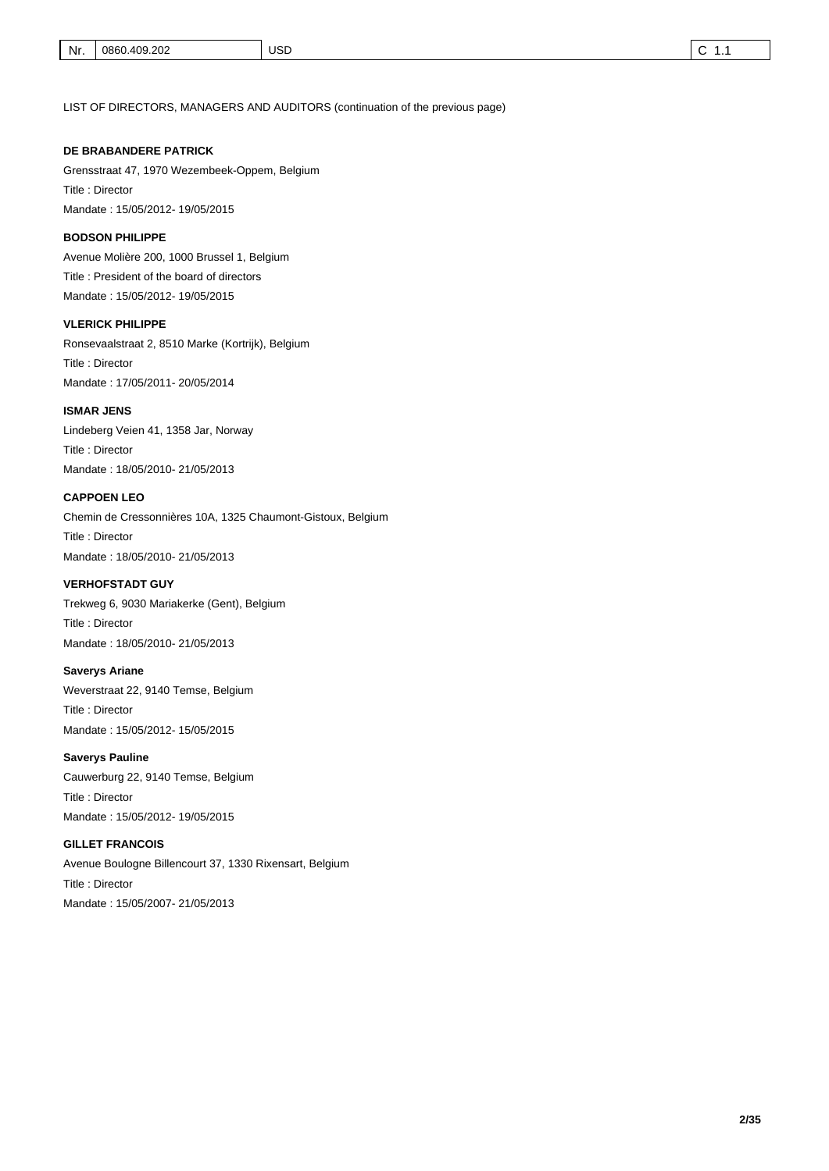LIST OF DIRECTORS, MANAGERS AND AUDITORS (continuation of the previous page)

#### **DE BRABANDERE PATRICK**

Grensstraat 47, 1970 Wezembeek-Oppem, Belgium Title : Director Mandate : 15/05/2012- 19/05/2015

#### **BODSON PHILIPPE**

Avenue Molière 200, 1000 Brussel 1, Belgium Title : President of the board of directors Mandate : 15/05/2012- 19/05/2015

#### **VLERICK PHILIPPE**

Ronsevaalstraat 2, 8510 Marke (Kortrijk), Belgium Title : Director Mandate : 17/05/2011- 20/05/2014

#### **ISMAR JENS**

Lindeberg Veien 41, 1358 Jar, Norway Title : Director Mandate : 18/05/2010- 21/05/2013

#### **CAPPOEN LEO**

Chemin de Cressonnières 10A, 1325 Chaumont-Gistoux, Belgium Title : Director Mandate : 18/05/2010- 21/05/2013

Trekweg 6, 9030 Mariakerke (Gent), Belgium Title : Director **VERHOFSTADT GUY**  Mandate : 18/05/2010- 21/05/2013

## **Saverys Ariane**

Weverstraat 22, 9140 Temse, Belgium Title : Director Mandate : 15/05/2012- 15/05/2015

#### **Saverys Pauline**

Cauwerburg 22, 9140 Temse, Belgium Title : Director Mandate : 15/05/2012- 19/05/2015

## **GILLET FRANCOIS**

Avenue Boulogne Billencourt 37, 1330 Rixensart, Belgium Title : Director Mandate : 15/05/2007- 21/05/2013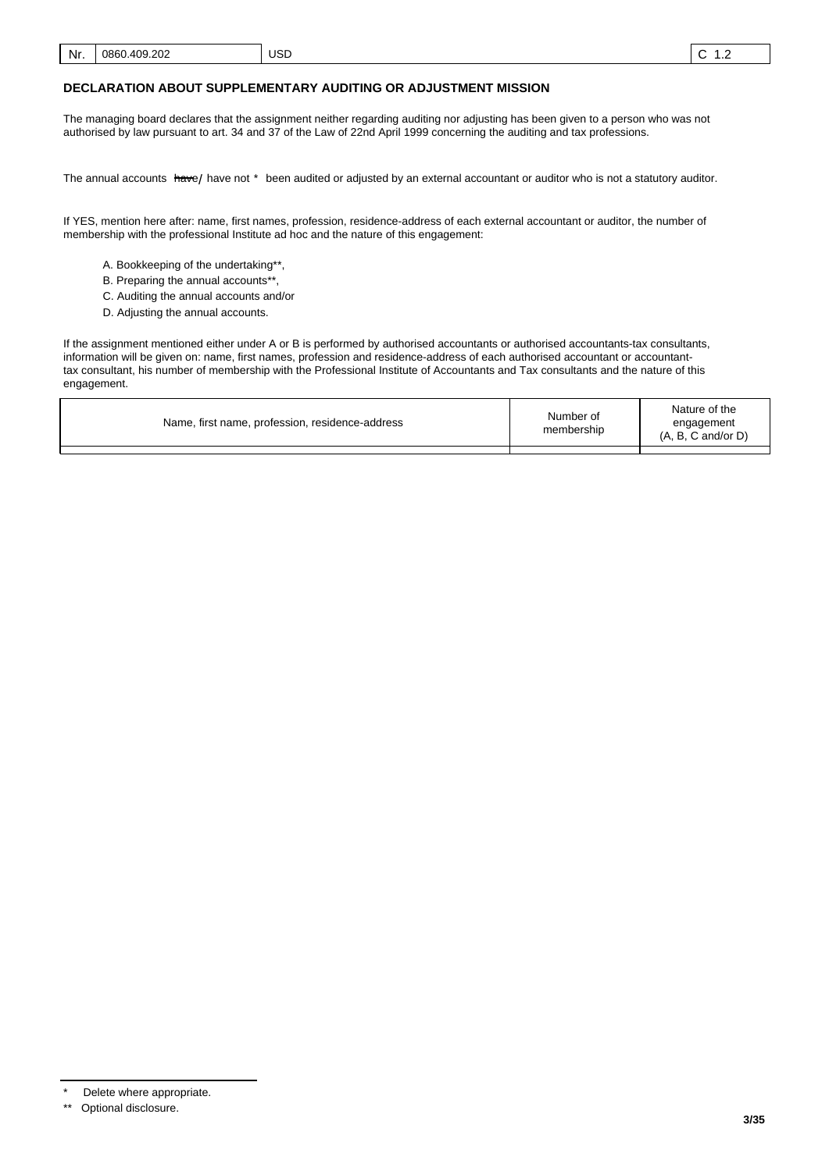#### **DECLARATION ABOUT SUPPLEMENTARY AUDITING OR ADJUSTMENT MISSION**

The managing board declares that the assignment neither regarding auditing nor adjusting has been given to a person who was not authorised by law pursuant to art. 34 and 37 of the Law of 22nd April 1999 concerning the auditing and tax professions.

The annual accounts <del>hav</del>e/ have not \* been audited or adjusted by an external accountant or auditor who is not a statutory auditor.

If YES, mention here after: name, first names, profession, residence-address of each external accountant or auditor, the number of membership with the professional Institute ad hoc and the nature of this engagement:

- A. Bookkeeping of the undertaking\*\*,
- B. Preparing the annual accounts\*\*
- C. Auditing the annual accounts and/or
- D. Adjusting the annual accounts.

If the assignment mentioned either under A or B is performed by authorised accountants or authorised accountants-tax consultants, information will be given on: name, first names, profession and residence-address of each authorised accountant or accountanttax consultant, his number of membership with the Professional Institute of Accountants and Tax consultants and the nature of this engagement.

| Name, first name, profession, residence-address | Number of<br>membership | Nature of the<br>engagement<br>$(A, B, C \text{ and/or } D)$ |
|-------------------------------------------------|-------------------------|--------------------------------------------------------------|
|                                                 |                         |                                                              |

Delete where appropriate.

<sup>\*\*</sup> Optional disclosure.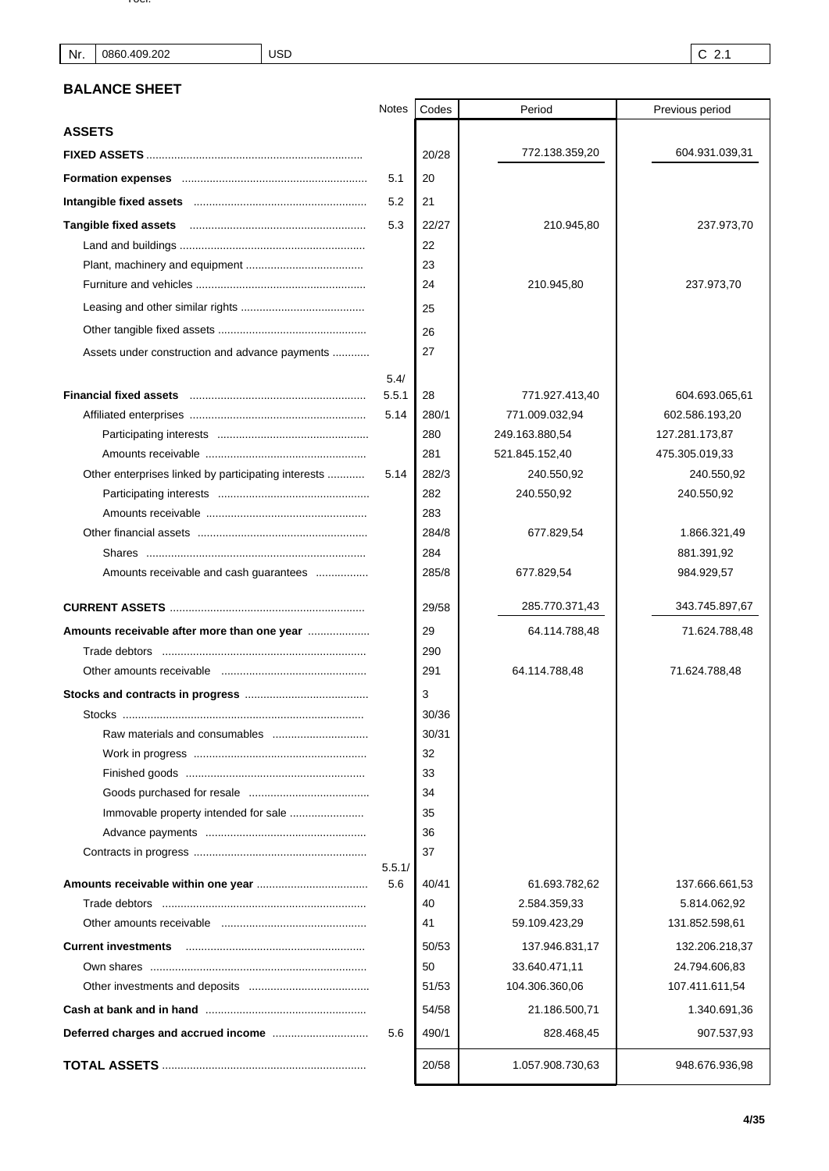| . טטו |  |  |  |  |
|-------|--|--|--|--|
|       |  |  |  |  |
|       |  |  |  |  |
|       |  |  |  |  |
|       |  |  |  |  |

USD

## **BALANCE SHEET**

|                                                     | <b>Notes</b>  | Codes | Period           | Previous period |
|-----------------------------------------------------|---------------|-------|------------------|-----------------|
| <b>ASSETS</b>                                       |               |       |                  |                 |
|                                                     |               | 20/28 | 772.138.359,20   | 604.931.039,31  |
|                                                     | 5.1           | 20    |                  |                 |
|                                                     | 5.2           | 21    |                  |                 |
|                                                     | 5.3           | 22/27 | 210.945,80       | 237.973,70      |
|                                                     |               | 22    |                  |                 |
|                                                     |               | 23    |                  |                 |
|                                                     |               | 24    | 210.945,80       | 237.973,70      |
|                                                     |               | 25    |                  |                 |
|                                                     |               | 26    |                  |                 |
| Assets under construction and advance payments      |               | 27    |                  |                 |
|                                                     |               |       |                  |                 |
|                                                     | 5.4/<br>5.5.1 | 28    | 771.927.413,40   | 604.693.065,61  |
|                                                     | 5.14          | 280/1 | 771.009.032,94   | 602.586.193,20  |
|                                                     |               | 280   | 249.163.880,54   | 127.281.173,87  |
|                                                     |               | 281   | 521.845.152,40   | 475.305.019,33  |
| Other enterprises linked by participating interests | 5.14          | 282/3 | 240.550,92       | 240.550,92      |
|                                                     |               | 282   | 240.550,92       | 240.550,92      |
|                                                     |               | 283   |                  |                 |
|                                                     |               | 284/8 | 677.829,54       | 1.866.321,49    |
|                                                     |               | 284   |                  | 881.391,92      |
| Amounts receivable and cash guarantees              |               | 285/8 | 677.829,54       | 984.929,57      |
|                                                     |               |       |                  |                 |
|                                                     |               | 29/58 | 285.770.371,43   | 343.745.897,67  |
| Amounts receivable after more than one year         |               | 29    | 64.114.788,48    | 71.624.788,48   |
|                                                     |               | 290   |                  |                 |
|                                                     |               | 291   | 64.114.788,48    | 71.624.788,48   |
|                                                     |               | 3     |                  |                 |
|                                                     |               | 30/36 |                  |                 |
|                                                     |               | 30/31 |                  |                 |
|                                                     |               | 32    |                  |                 |
|                                                     |               | 33    |                  |                 |
|                                                     |               | 34    |                  |                 |
|                                                     |               | 35    |                  |                 |
|                                                     |               | 36    |                  |                 |
|                                                     | 5.5.1/        | 37    |                  |                 |
|                                                     | 5.6           | 40/41 | 61.693.782,62    | 137.666.661,53  |
|                                                     |               | 40    | 2.584.359,33     | 5.814.062,92    |
|                                                     |               | 41    | 59.109.423,29    | 131.852.598,61  |
| <b>Current investments</b>                          |               | 50/53 | 137.946.831,17   | 132.206.218,37  |
|                                                     |               | 50    | 33.640.471,11    | 24.794.606,83   |
|                                                     |               | 51/53 | 104.306.360,06   | 107.411.611,54  |
|                                                     |               | 54/58 | 21.186.500,71    | 1.340.691,36    |
|                                                     | 5.6           | 490/1 | 828.468,45       | 907.537,93      |
|                                                     |               |       |                  |                 |
|                                                     |               | 20/58 | 1.057.908.730,63 | 948.676.936,98  |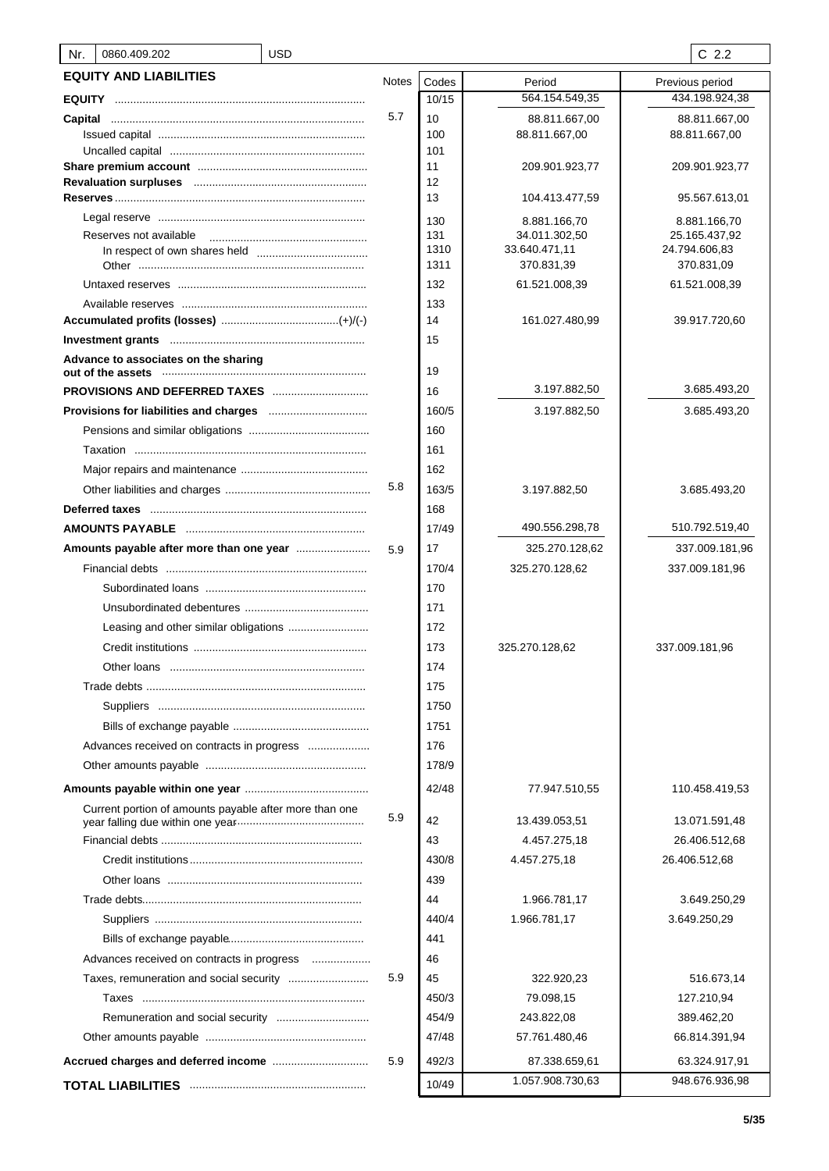| 0860.409.202<br>Nr.                                    | <b>USD</b> |              |            |                               | $C$ 2.2                       |
|--------------------------------------------------------|------------|--------------|------------|-------------------------------|-------------------------------|
| <b>EQUITY AND LIABILITIES</b>                          |            | <b>Notes</b> | Codes      | Period                        | Previous period               |
|                                                        |            |              | 10/15      | 564.154.549,35                | 434.198.924,38                |
| Capital                                                |            | 5.7          | 10         | 88.811.667,00                 | 88.811.667,00                 |
|                                                        |            |              | 100        | 88.811.667,00                 | 88.811.667,00                 |
|                                                        |            |              | 101        |                               |                               |
|                                                        |            |              | 11         | 209.901.923,77                | 209.901.923,77                |
|                                                        |            |              | 12<br>13   | 104.413.477,59                | 95.567.613,01                 |
|                                                        |            |              |            |                               |                               |
| Reserves not available                                 |            |              | 130<br>131 | 8.881.166,70<br>34.011.302,50 | 8.881.166,70<br>25.165.437,92 |
|                                                        |            |              | 1310       | 33.640.471,11                 | 24.794.606,83                 |
|                                                        |            |              | 1311       | 370.831,39                    | 370.831,09                    |
|                                                        |            |              | 132        | 61.521.008,39                 | 61.521.008,39                 |
|                                                        |            |              | 133        |                               |                               |
|                                                        |            |              | 14         | 161.027.480,99                | 39.917.720,60                 |
|                                                        |            |              | 15         |                               |                               |
| Advance to associates on the sharing                   |            |              | 19         |                               |                               |
| <b>PROVISIONS AND DEFERRED TAXES</b>                   |            |              | 16         | 3.197.882,50                  | 3.685.493,20                  |
|                                                        |            |              | 160/5      | 3.197.882,50                  | 3.685.493,20                  |
|                                                        |            |              | 160        |                               |                               |
|                                                        |            |              | 161        |                               |                               |
|                                                        |            |              | 162        |                               |                               |
|                                                        |            | 5.8          | 163/5      | 3.197.882,50                  | 3.685.493,20                  |
|                                                        |            |              | 168        |                               |                               |
|                                                        |            |              | 17/49      | 490.556.298,78                | 510.792.519,40                |
|                                                        |            | 5.9          | 17         | 325.270.128,62                | 337.009.181,96                |
|                                                        |            |              | 170/4      | 325.270.128,62                | 337.009.181,96                |
|                                                        |            |              | 170        |                               |                               |
|                                                        |            |              | 171        |                               |                               |
|                                                        |            |              | 172        |                               |                               |
|                                                        |            |              | 173        | 325.270.128,62                | 337.009.181,96                |
|                                                        |            |              | 174        |                               |                               |
|                                                        |            |              | 175        |                               |                               |
|                                                        |            |              | 1750       |                               |                               |
|                                                        |            |              | 1751       |                               |                               |
| Advances received on contracts in progress             |            |              | 176        |                               |                               |
|                                                        |            |              | 178/9      |                               |                               |
|                                                        |            |              | 42/48      | 77.947.510,55                 | 110.458.419,53                |
| Current portion of amounts payable after more than one |            | 5.9          | 42         | 13.439.053,51                 | 13.071.591,48                 |
|                                                        |            |              | 43         | 4.457.275,18                  | 26.406.512,68                 |
|                                                        |            |              | 430/8      | 4.457.275,18                  | 26.406.512,68                 |
|                                                        |            |              | 439        |                               |                               |
|                                                        |            |              | 44         | 1.966.781,17                  | 3.649.250,29                  |
|                                                        |            |              | 440/4      | 1.966.781,17                  | 3.649.250,29                  |
|                                                        |            |              | 441        |                               |                               |
| Advances received on contracts in progress             |            |              | 46         |                               |                               |
| Taxes, remuneration and social security                |            | 5.9          | 45         | 322.920,23                    | 516.673,14                    |
|                                                        |            |              | 450/3      | 79.098,15                     | 127.210,94                    |
|                                                        |            |              | 454/9      | 243.822,08                    | 389.462,20                    |
|                                                        |            |              | 47/48      | 57.761.480,46                 | 66.814.391,94                 |
|                                                        |            | 5.9          | 492/3      | 87.338.659,61                 | 63.324.917,91                 |
|                                                        |            |              | 10/49      | 1.057.908.730,63              | 948.676.936,98                |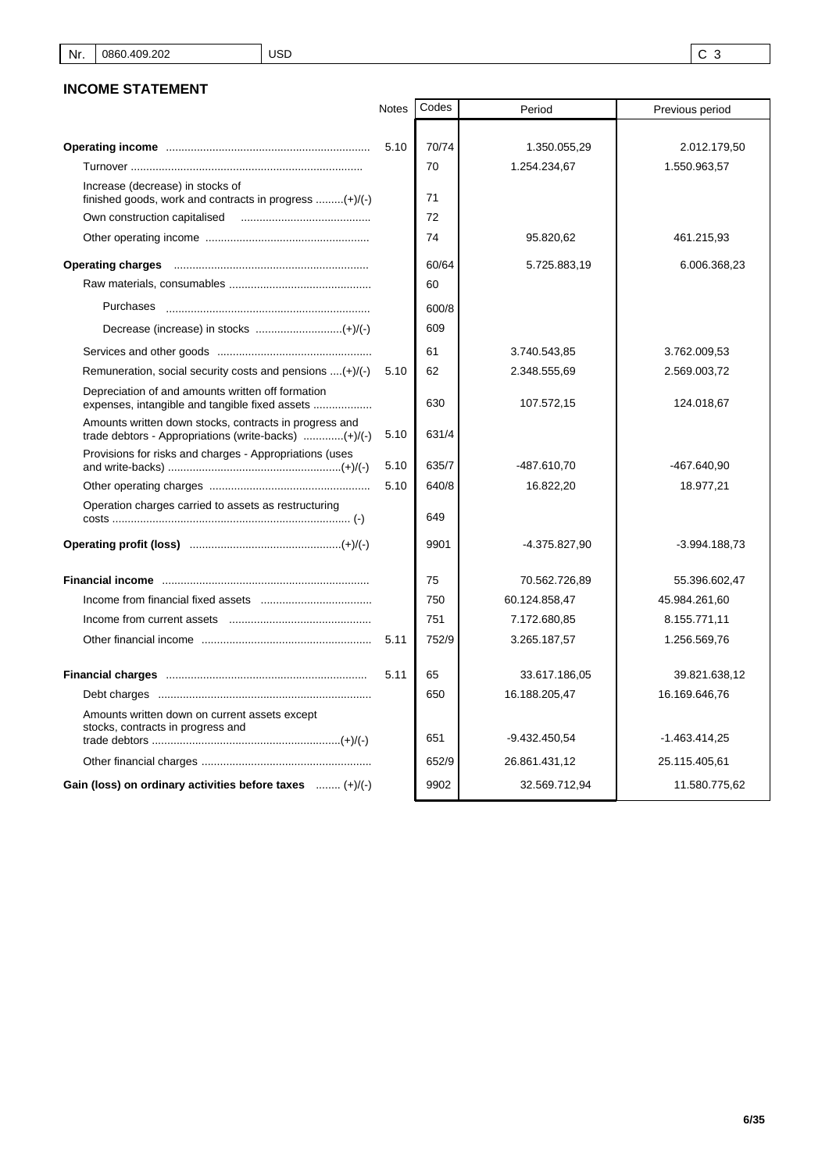# **INCOME STATEMENT**

|                                                                                                     | <b>Notes</b> | Codes | Period        | Previous period |
|-----------------------------------------------------------------------------------------------------|--------------|-------|---------------|-----------------|
|                                                                                                     |              |       |               |                 |
|                                                                                                     | 5.10         | 70/74 | 1.350.055,29  | 2.012.179,50    |
|                                                                                                     |              | 70    | 1.254.234,67  | 1.550.963,57    |
| Increase (decrease) in stocks of<br>finished goods, work and contracts in progress $(+)/(-)$        |              | 71    |               |                 |
| Own construction capitalised                                                                        |              | 72    |               |                 |
|                                                                                                     |              | 74    | 95.820,62     | 461.215,93      |
|                                                                                                     |              | 60/64 | 5.725.883,19  | 6.006.368,23    |
|                                                                                                     |              | 60    |               |                 |
| Purchases                                                                                           |              | 600/8 |               |                 |
|                                                                                                     |              | 609   |               |                 |
|                                                                                                     |              | 61    | 3.740.543,85  | 3.762.009,53    |
| Remuneration, social security costs and pensions $\dots(+)/(-)$                                     | 5.10         | 62    | 2.348.555,69  | 2.569.003,72    |
| Depreciation of and amounts written off formation<br>expenses, intangible and tangible fixed assets |              | 630   | 107.572,15    | 124.018,67      |
| Amounts written down stocks, contracts in progress and                                              | 5.10         | 631/4 |               |                 |
| Provisions for risks and charges - Appropriations (uses                                             | 5.10         | 635/7 | -487.610,70   | -467.640,90     |
|                                                                                                     | 5.10         | 640/8 | 16.822,20     | 18.977,21       |
| Operation charges carried to assets as restructuring                                                |              | 649   |               |                 |
|                                                                                                     |              | 9901  | -4.375.827,90 | $-3.994.188.73$ |
|                                                                                                     |              | 75    | 70.562.726,89 | 55.396.602,47   |
|                                                                                                     |              | 750   | 60.124.858,47 | 45.984.261,60   |
|                                                                                                     |              | 751   | 7.172.680,85  | 8.155.771,11    |
|                                                                                                     | 5.11         | 752/9 | 3.265.187,57  | 1.256.569,76    |
|                                                                                                     | 5.11         | 65    | 33.617.186,05 | 39.821.638,12   |
|                                                                                                     |              | 650   | 16.188.205,47 | 16.169.646,76   |
| Amounts written down on current assets except<br>stocks, contracts in progress and                  |              | 651   | -9.432.450,54 | $-1.463.414.25$ |
|                                                                                                     |              | 652/9 | 26.861.431,12 | 25.115.405,61   |
| Gain (loss) on ordinary activities before taxes  (+)/(-)                                            |              | 9902  | 32.569.712,94 | 11.580.775,62   |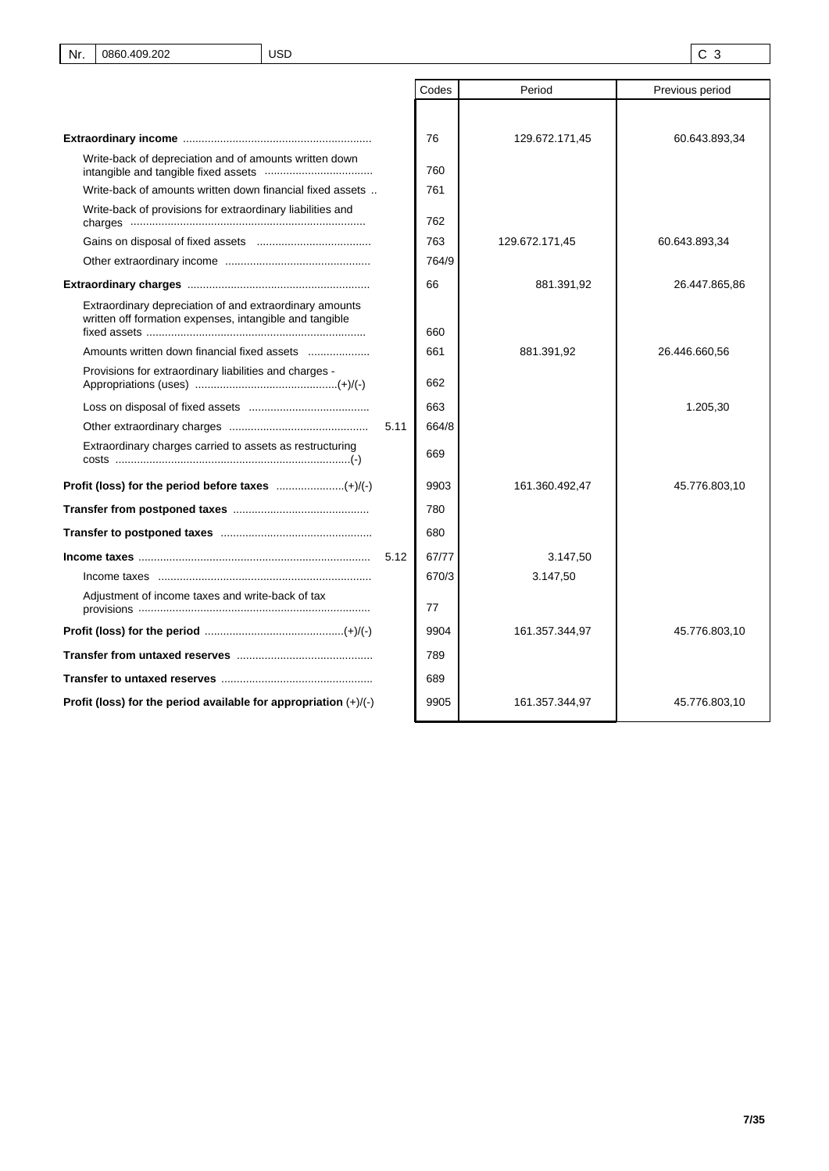|                                                                                                                    |      | Codes | Period         | Previous period |
|--------------------------------------------------------------------------------------------------------------------|------|-------|----------------|-----------------|
|                                                                                                                    |      |       |                |                 |
|                                                                                                                    |      | 76    | 129.672.171,45 | 60.643.893,34   |
| Write-back of depreciation and of amounts written down                                                             |      | 760   |                |                 |
| Write-back of amounts written down financial fixed assets                                                          |      | 761   |                |                 |
| Write-back of provisions for extraordinary liabilities and                                                         |      | 762   |                |                 |
|                                                                                                                    |      | 763   | 129.672.171,45 | 60.643.893,34   |
|                                                                                                                    |      | 764/9 |                |                 |
|                                                                                                                    |      | 66    | 881.391,92     | 26.447.865,86   |
| Extraordinary depreciation of and extraordinary amounts<br>written off formation expenses, intangible and tangible |      | 660   |                |                 |
| Amounts written down financial fixed assets                                                                        |      | 661   | 881.391,92     | 26.446.660,56   |
| Provisions for extraordinary liabilities and charges -                                                             |      | 662   |                |                 |
|                                                                                                                    |      | 663   |                | 1.205,30        |
|                                                                                                                    | 5.11 | 664/8 |                |                 |
| Extraordinary charges carried to assets as restructuring                                                           |      | 669   |                |                 |
| Profit (loss) for the period before taxes (+)/(-)                                                                  |      | 9903  | 161.360.492,47 | 45.776.803,10   |
|                                                                                                                    |      | 780   |                |                 |
|                                                                                                                    |      | 680   |                |                 |
|                                                                                                                    | 5.12 | 67/77 | 3.147,50       |                 |
|                                                                                                                    |      | 670/3 | 3.147,50       |                 |
| Adjustment of income taxes and write-back of tax                                                                   |      | 77    |                |                 |
|                                                                                                                    |      | 9904  | 161.357.344,97 | 45.776.803,10   |
|                                                                                                                    |      | 789   |                |                 |
|                                                                                                                    |      | 689   |                |                 |
| Profit (loss) for the period available for appropriation $(+)/(-)$                                                 |      | 9905  | 161.357.344,97 | 45.776.803,10   |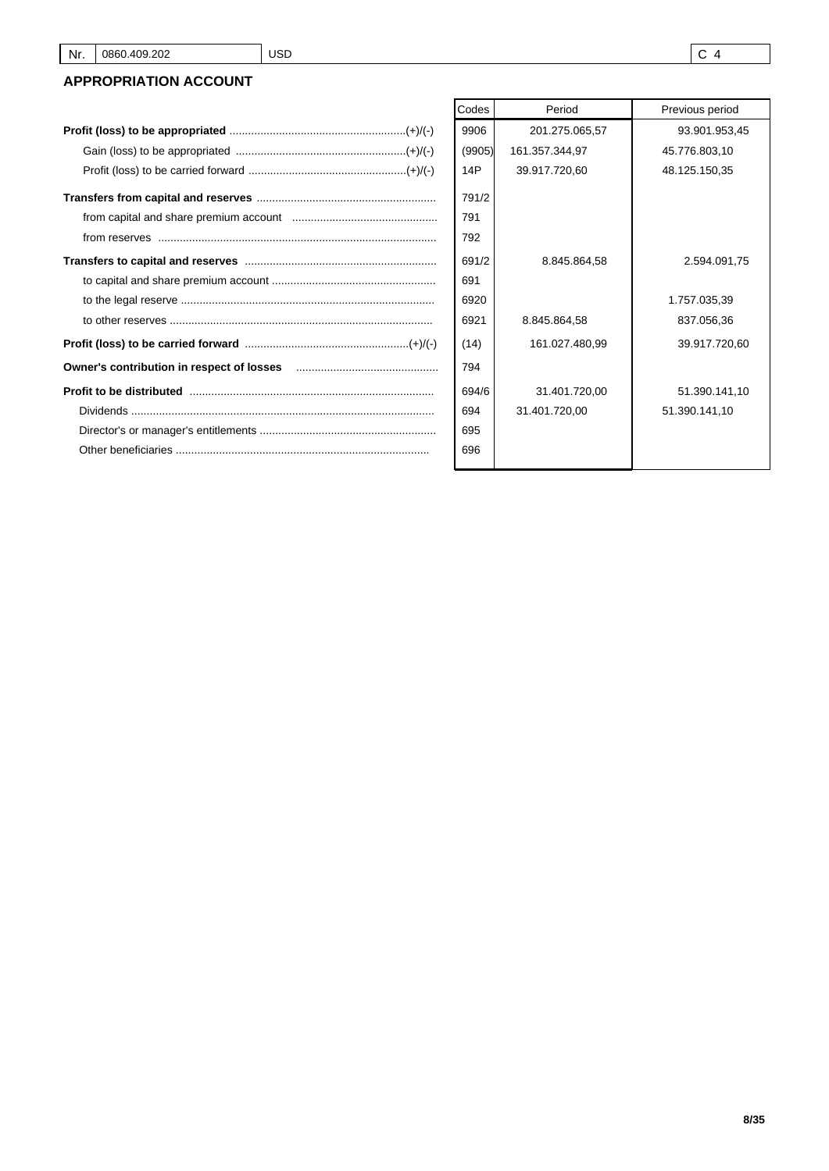# **APPROPRIATION ACCOUNT**

| Codes  | Period         | Previous period |
|--------|----------------|-----------------|
| 9906   | 201.275.065,57 | 93.901.953,45   |
| (9905) | 161.357.344,97 | 45.776.803,10   |
| 14P    | 39.917.720,60  | 48.125.150,35   |
| 791/2  |                |                 |
| 791    |                |                 |
| 792    |                |                 |
| 691/2  | 8.845.864,58   | 2.594.091,75    |
| 691    |                |                 |
| 6920   |                | 1.757.035,39    |
| 6921   | 8.845.864,58   | 837.056,36      |
| (14)   | 161.027.480,99 | 39.917.720,60   |
| 794    |                |                 |
| 694/6  | 31.401.720,00  | 51.390.141,10   |
| 694    | 31.401.720,00  | 51.390.141,10   |
| 695    |                |                 |
| 696    |                |                 |
|        |                |                 |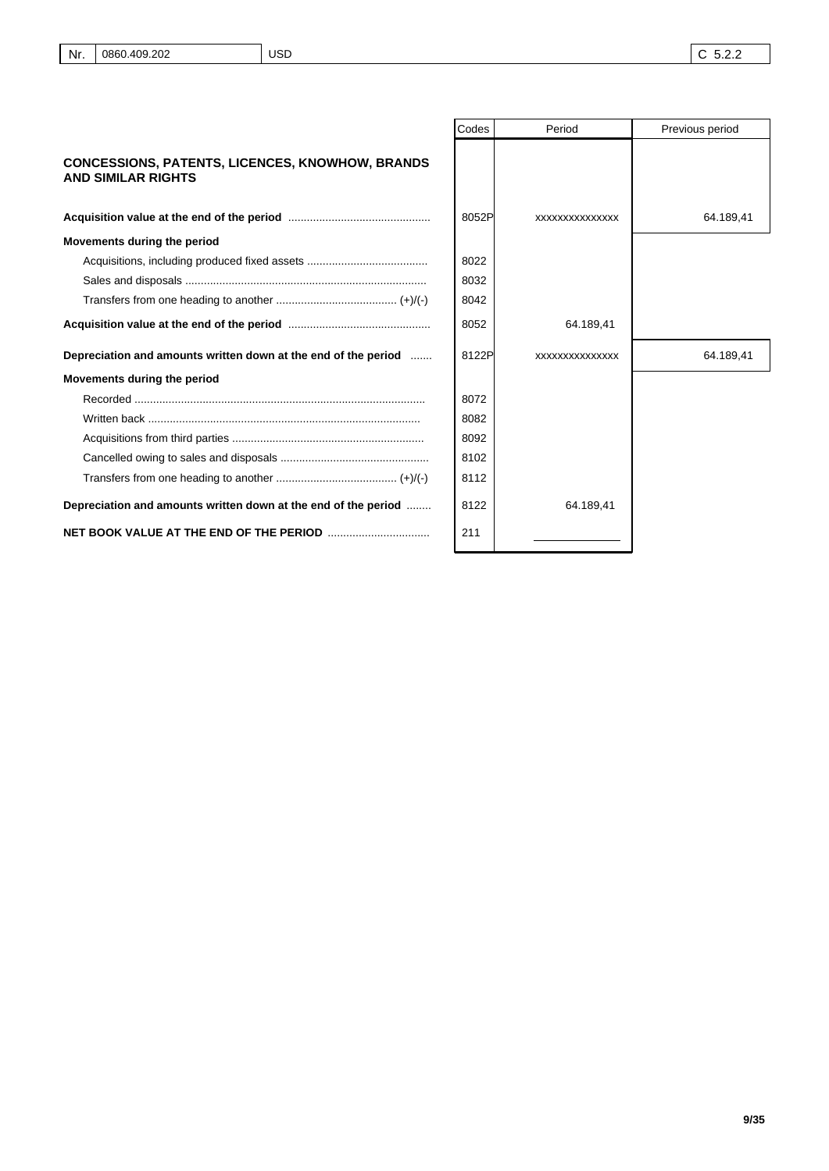| Nr. 0860.409.202<br><b>USD</b> | $\mid$ C 5.2.2 |
|--------------------------------|----------------|
|--------------------------------|----------------|

|                                                                                     | Codes | Period          | Previous period |
|-------------------------------------------------------------------------------------|-------|-----------------|-----------------|
| <b>CONCESSIONS, PATENTS, LICENCES, KNOWHOW, BRANDS</b><br><b>AND SIMILAR RIGHTS</b> |       |                 |                 |
|                                                                                     | 8052P | XXXXXXXXXXXXXXX | 64.189,41       |
| Movements during the period                                                         |       |                 |                 |
|                                                                                     | 8022  |                 |                 |
|                                                                                     | 8032  |                 |                 |
|                                                                                     | 8042  |                 |                 |
|                                                                                     | 8052  | 64.189,41       |                 |
| Depreciation and amounts written down at the end of the period                      | 8122P | XXXXXXXXXXXXXXX | 64.189,41       |
| Movements during the period                                                         |       |                 |                 |
|                                                                                     | 8072  |                 |                 |
|                                                                                     | 8082  |                 |                 |
|                                                                                     | 8092  |                 |                 |
|                                                                                     | 8102  |                 |                 |
|                                                                                     | 8112  |                 |                 |
| Depreciation and amounts written down at the end of the period                      | 8122  | 64.189,41       |                 |
|                                                                                     | 211   |                 |                 |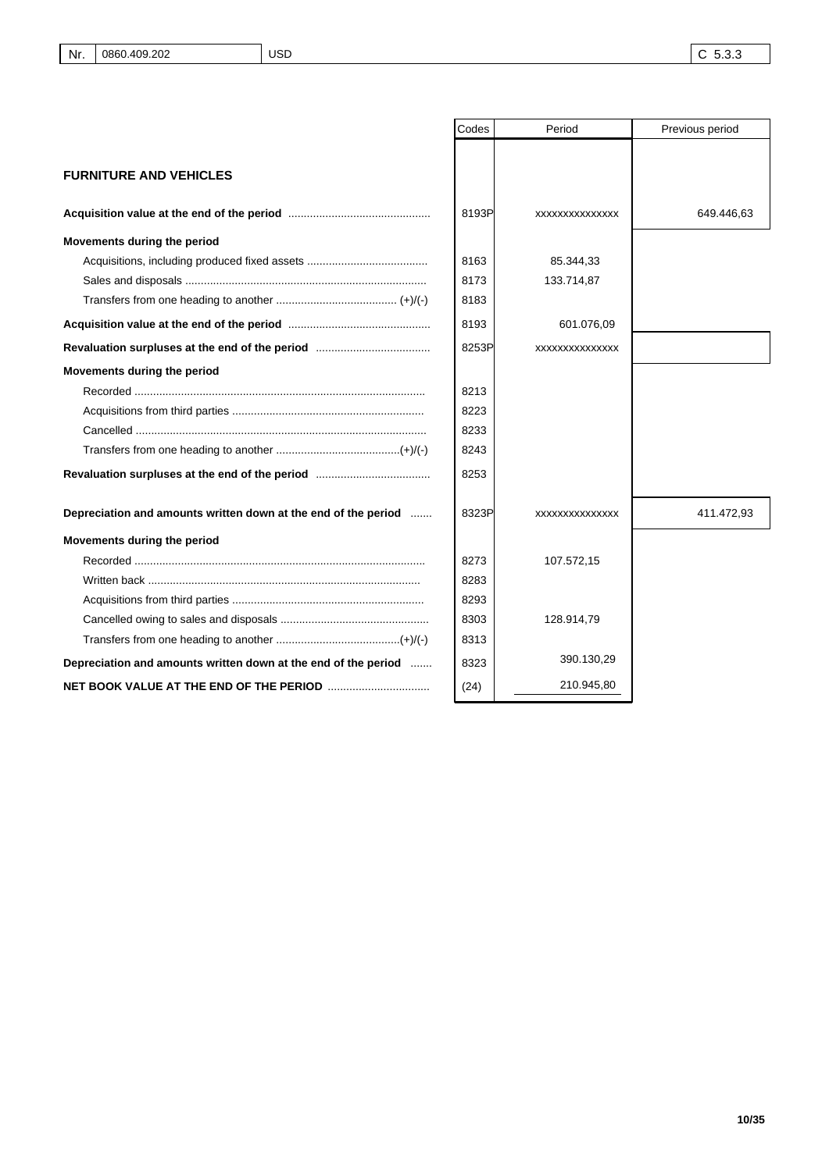|                                                                | Codes | Period          | Previous period |
|----------------------------------------------------------------|-------|-----------------|-----------------|
|                                                                |       |                 |                 |
| <b>FURNITURE AND VEHICLES</b>                                  |       |                 |                 |
|                                                                |       |                 |                 |
|                                                                | 8193P | XXXXXXXXXXXXXXX | 649.446,63      |
| Movements during the period                                    |       |                 |                 |
|                                                                | 8163  | 85.344,33       |                 |
|                                                                | 8173  | 133.714,87      |                 |
|                                                                | 8183  |                 |                 |
|                                                                | 8193  | 601.076,09      |                 |
|                                                                | 8253P | XXXXXXXXXXXXXXX |                 |
| Movements during the period                                    |       |                 |                 |
|                                                                | 8213  |                 |                 |
|                                                                | 8223  |                 |                 |
|                                                                | 8233  |                 |                 |
|                                                                | 8243  |                 |                 |
|                                                                | 8253  |                 |                 |
| Depreciation and amounts written down at the end of the period | 8323P | XXXXXXXXXXXXXX  | 411.472,93      |
| Movements during the period                                    |       |                 |                 |
|                                                                | 8273  | 107.572,15      |                 |
|                                                                | 8283  |                 |                 |
|                                                                | 8293  |                 |                 |
|                                                                | 8303  | 128.914,79      |                 |
|                                                                | 8313  |                 |                 |
| Depreciation and amounts written down at the end of the period | 8323  | 390.130,29      |                 |
|                                                                | (24)  | 210.945,80      |                 |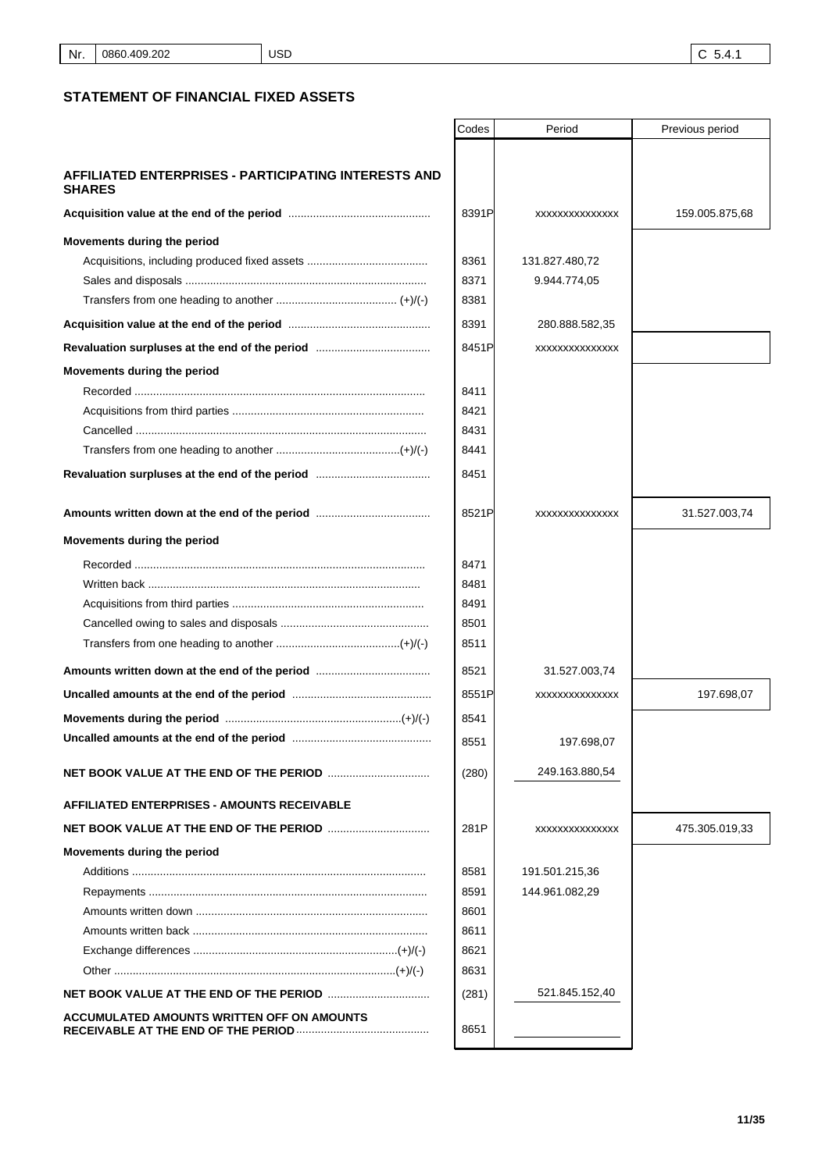## **STATEMENT OF FINANCIAL FIXED ASSETS**

|                                                                              | Codes | Period         | Previous period |
|------------------------------------------------------------------------------|-------|----------------|-----------------|
|                                                                              |       |                |                 |
| <b>AFFILIATED ENTERPRISES - PARTICIPATING INTERESTS AND</b><br><b>SHARES</b> |       |                |                 |
|                                                                              | 8391P | XXXXXXXXXXXXXX | 159.005.875,68  |
| Movements during the period                                                  |       |                |                 |
|                                                                              | 8361  | 131.827.480,72 |                 |
|                                                                              | 8371  | 9.944.774,05   |                 |
|                                                                              | 8381  |                |                 |
|                                                                              | 8391  | 280.888.582,35 |                 |
|                                                                              | 8451P | XXXXXXXXXXXXXX |                 |
| Movements during the period                                                  |       |                |                 |
|                                                                              | 8411  |                |                 |
|                                                                              | 8421  |                |                 |
|                                                                              | 8431  |                |                 |
|                                                                              | 8441  |                |                 |
|                                                                              | 8451  |                |                 |
|                                                                              | 8521P | XXXXXXXXXXXXXX | 31.527.003,74   |
| Movements during the period                                                  |       |                |                 |
|                                                                              | 8471  |                |                 |
|                                                                              | 8481  |                |                 |
|                                                                              | 8491  |                |                 |
|                                                                              | 8501  |                |                 |
|                                                                              | 8511  |                |                 |
|                                                                              | 8521  | 31.527.003,74  |                 |
|                                                                              | 8551P | XXXXXXXXXXXXXX | 197.698,07      |
|                                                                              | 8541  |                |                 |
|                                                                              | 8551  | 197.698,07     |                 |
|                                                                              | (280) | 249.163.880,54 |                 |
| <b>AFFILIATED ENTERPRISES - AMOUNTS RECEIVABLE</b>                           |       |                |                 |
|                                                                              | 281P  | XXXXXXXXXXXXXX | 475.305.019,33  |
| Movements during the period                                                  |       |                |                 |
|                                                                              | 8581  | 191.501.215,36 |                 |
|                                                                              | 8591  | 144.961.082,29 |                 |
|                                                                              | 8601  |                |                 |
|                                                                              | 8611  |                |                 |
|                                                                              | 8621  |                |                 |
|                                                                              | 8631  |                |                 |
| <b>NET BOOK VALUE AT THE END OF THE PERIOD </b>                              | (281) | 521.845.152,40 |                 |
| ACCUMULATED AMOUNTS WRITTEN OFF ON AMOUNTS                                   | 8651  |                |                 |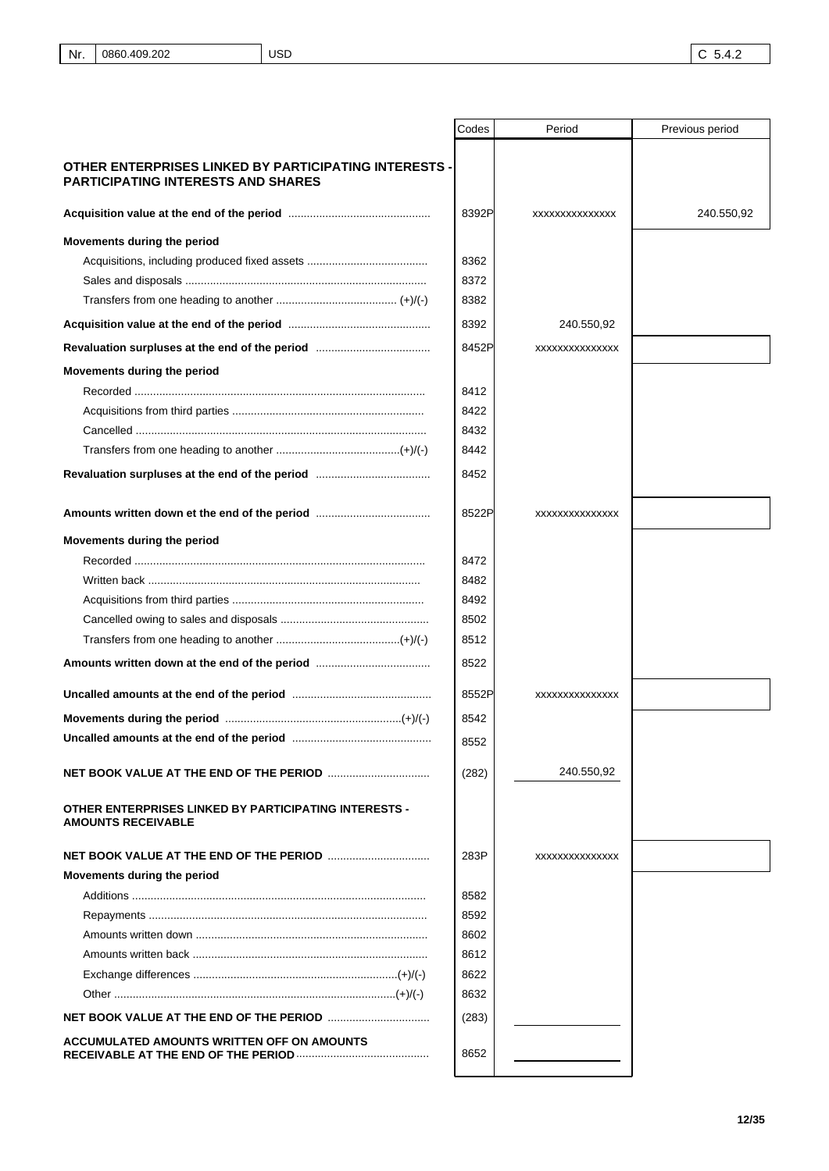|                                                                                                    | Codes | Period         | Previous period |
|----------------------------------------------------------------------------------------------------|-------|----------------|-----------------|
| OTHER ENTERPRISES LINKED BY PARTICIPATING INTERESTS -<br><b>PARTICIPATING INTERESTS AND SHARES</b> |       |                |                 |
|                                                                                                    | 8392P | XXXXXXXXXXXXXX | 240.550,92      |
| Movements during the period                                                                        |       |                |                 |
|                                                                                                    | 8362  |                |                 |
|                                                                                                    | 8372  |                |                 |
|                                                                                                    | 8382  |                |                 |
|                                                                                                    | 8392  | 240.550,92     |                 |
|                                                                                                    | 8452P | XXXXXXXXXXXXXX |                 |
| Movements during the period                                                                        |       |                |                 |
|                                                                                                    | 8412  |                |                 |
|                                                                                                    | 8422  |                |                 |
|                                                                                                    | 8432  |                |                 |
|                                                                                                    | 8442  |                |                 |
|                                                                                                    | 8452  |                |                 |
| Amounts written down et the end of the period                                                      | 8522P | XXXXXXXXXXXXXX |                 |
| Movements during the period                                                                        |       |                |                 |
|                                                                                                    | 8472  |                |                 |
|                                                                                                    | 8482  |                |                 |
|                                                                                                    | 8492  |                |                 |
|                                                                                                    | 8502  |                |                 |
|                                                                                                    | 8512  |                |                 |
| Amounts written down at the end of the period                                                      | 8522  |                |                 |
|                                                                                                    | 8552P | XXXXXXXXXXXXXX |                 |
|                                                                                                    | 8542  |                |                 |
|                                                                                                    | 8552  |                |                 |
|                                                                                                    | (282) | 240.550,92     |                 |
| <b>OTHER ENTERPRISES LINKED BY PARTICIPATING INTERESTS -</b><br><b>AMOUNTS RECEIVABLE</b>          |       |                |                 |
|                                                                                                    | 283P  | XXXXXXXXXXXXXX |                 |
| Movements during the period                                                                        |       |                |                 |
|                                                                                                    | 8582  |                |                 |
|                                                                                                    | 8592  |                |                 |
|                                                                                                    | 8602  |                |                 |
|                                                                                                    | 8612  |                |                 |
|                                                                                                    | 8622  |                |                 |
|                                                                                                    | 8632  |                |                 |
|                                                                                                    | (283) |                |                 |
| ACCUMULATED AMOUNTS WRITTEN OFF ON AMOUNTS                                                         | 8652  |                |                 |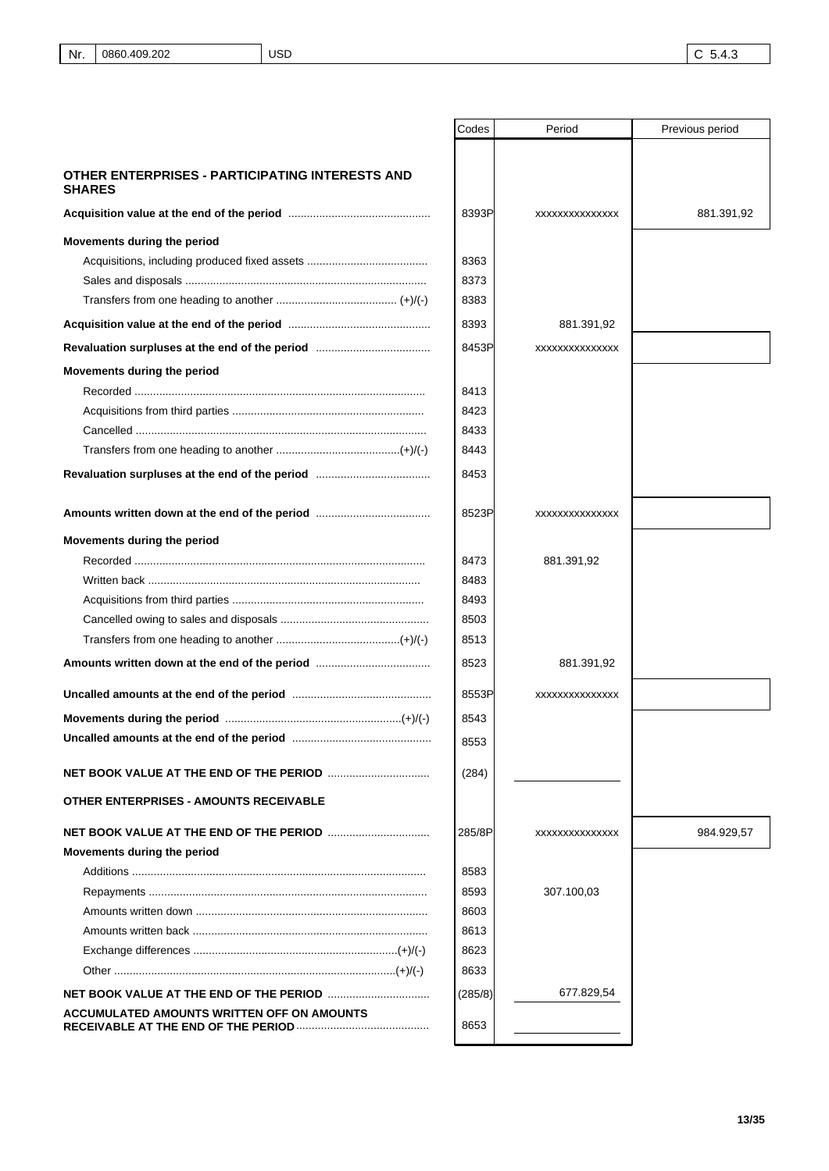USD

|                                                                  | Codes   | Period         | Previous period |
|------------------------------------------------------------------|---------|----------------|-----------------|
|                                                                  |         |                |                 |
| OTHER ENTERPRISES - PARTICIPATING INTERESTS AND<br><b>SHARES</b> |         |                |                 |
|                                                                  | 8393P   | XXXXXXXXXXXXXX | 881.391,92      |
| Movements during the period                                      |         |                |                 |
|                                                                  | 8363    |                |                 |
|                                                                  | 8373    |                |                 |
|                                                                  | 8383    |                |                 |
|                                                                  | 8393    | 881.391,92     |                 |
|                                                                  | 8453P   | XXXXXXXXXXXXXX |                 |
| Movements during the period                                      |         |                |                 |
|                                                                  | 8413    |                |                 |
|                                                                  | 8423    |                |                 |
|                                                                  | 8433    |                |                 |
|                                                                  | 8443    |                |                 |
|                                                                  | 8453    |                |                 |
|                                                                  |         |                |                 |
| Amounts written down at the end of the period                    | 8523P   | XXXXXXXXXXXXXX |                 |
| Movements during the period                                      |         |                |                 |
|                                                                  | 8473    | 881.391,92     |                 |
|                                                                  | 8483    |                |                 |
|                                                                  | 8493    |                |                 |
|                                                                  | 8503    |                |                 |
|                                                                  | 8513    |                |                 |
| Amounts written down at the end of the period                    | 8523    | 881.391,92     |                 |
|                                                                  | 8553P   | XXXXXXXXXXXXXX |                 |
|                                                                  | 8543    |                |                 |
|                                                                  | 8553    |                |                 |
|                                                                  | (284)   |                |                 |
| <b>OTHER ENTERPRISES - AMOUNTS RECEIVABLE</b>                    |         |                |                 |
|                                                                  |         |                |                 |
|                                                                  | 285/8P  | XXXXXXXXXXXXXX | 984.929,57      |
| Movements during the period                                      |         |                |                 |
|                                                                  | 8583    |                |                 |
|                                                                  | 8593    | 307.100,03     |                 |
|                                                                  | 8603    |                |                 |
|                                                                  | 8613    |                |                 |
|                                                                  | 8623    |                |                 |
|                                                                  | 8633    |                |                 |
|                                                                  | (285/8) | 677.829,54     |                 |
| ACCUMULATED AMOUNTS WRITTEN OFF ON AMOUNTS                       | 8653    |                |                 |
|                                                                  |         |                |                 |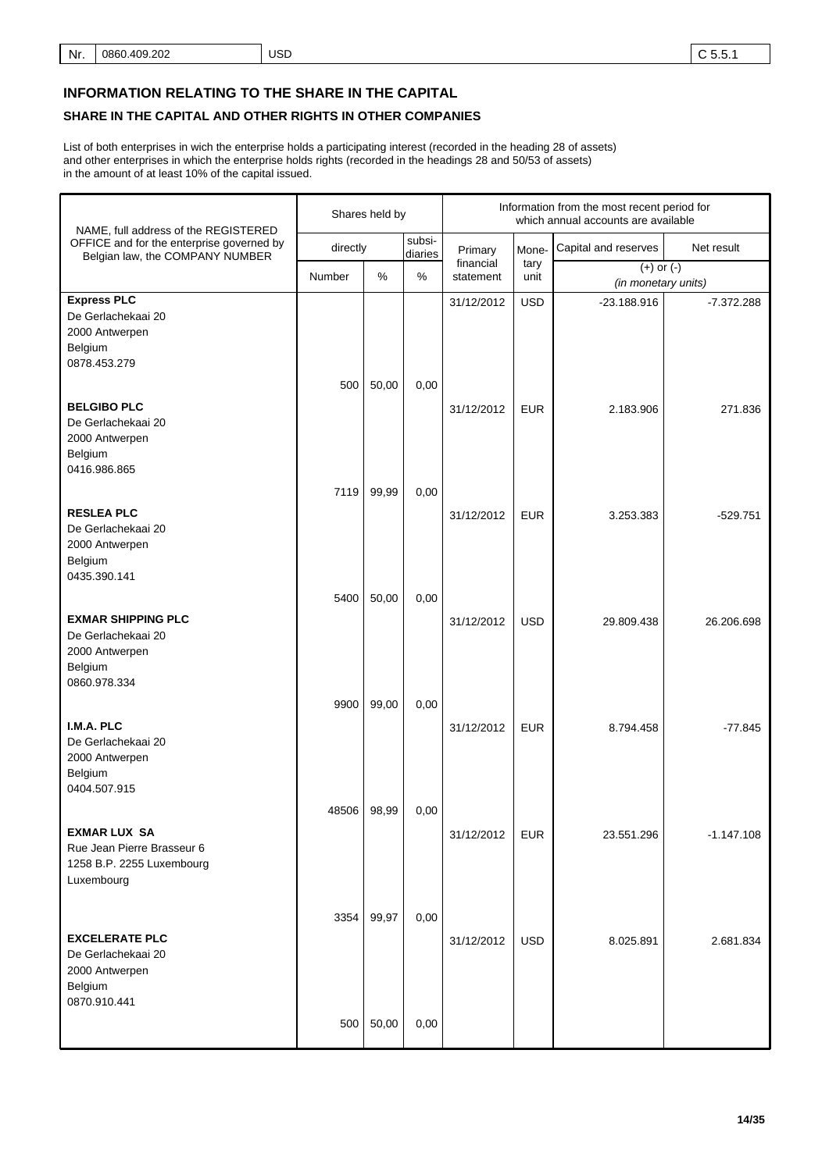# **INFORMATION RELATING TO THE SHARE IN THE CAPITAL**

# **SHARE IN THE CAPITAL AND OTHER RIGHTS IN OTHER COMPANIES**

List of both enterprises in wich the enterprise holds a participating interest (recorded in the heading 28 of assets) and other enterprises in which the enterprise holds rights (recorded in the headings 28 and 50/53 of assets) in the amount of at least 10% of the capital issued.

| NAME, full address of the REGISTERED                                                         |          | Shares held by |                   | Information from the most recent period for<br>which annual accounts are available |              |                                       |              |
|----------------------------------------------------------------------------------------------|----------|----------------|-------------------|------------------------------------------------------------------------------------|--------------|---------------------------------------|--------------|
| OFFICE and for the enterprise governed by<br>Belgian law, the COMPANY NUMBER                 | directly |                | subsi-<br>diaries | Primary                                                                            | Mone-        | Capital and reserves                  | Net result   |
|                                                                                              | Number   | %              | $\%$              | financial<br>statement                                                             | tary<br>unit | $(+)$ or $(-)$<br>(in monetary units) |              |
| <b>Express PLC</b><br>De Gerlachekaai 20<br>2000 Antwerpen<br>Belgium<br>0878.453.279        | 500      | 50,00          |                   | 31/12/2012                                                                         | <b>USD</b>   | $-23.188.916$                         | $-7.372.288$ |
| <b>BELGIBO PLC</b><br>De Gerlachekaai 20<br>2000 Antwerpen<br>Belgium<br>0416.986.865        |          |                | 0,00              | 31/12/2012                                                                         | <b>EUR</b>   | 2.183.906                             | 271.836      |
| <b>RESLEA PLC</b><br>De Gerlachekaai 20<br>2000 Antwerpen<br>Belgium<br>0435.390.141         | 7119     | 99,99          | 0,00              | 31/12/2012                                                                         | <b>EUR</b>   | 3.253.383                             | $-529.751$   |
| <b>EXMAR SHIPPING PLC</b><br>De Gerlachekaai 20<br>2000 Antwerpen<br>Belgium<br>0860.978.334 | 5400     | 50,00          | 0,00              | 31/12/2012                                                                         | <b>USD</b>   | 29.809.438                            | 26.206.698   |
| I.M.A. PLC<br>De Gerlachekaai 20<br>2000 Antwerpen<br>Belgium<br>0404.507.915                | 9900     | 99,00          | 0,00              | 31/12/2012                                                                         | <b>EUR</b>   | 8.794.458                             | $-77.845$    |
| <b>EXMAR LUX SA</b><br>Rue Jean Pierre Brasseur 6<br>1258 B.P. 2255 Luxembourg<br>Luxembourg | 48506    | 98,99          | 0,00              | 31/12/2012                                                                         | <b>EUR</b>   | 23.551.296                            | $-1.147.108$ |
| <b>EXCELERATE PLC</b><br>De Gerlachekaai 20<br>2000 Antwerpen<br>Belgium<br>0870.910.441     | 3354     | 99,97          | 0,00              | 31/12/2012                                                                         | <b>USD</b>   | 8.025.891                             | 2.681.834    |
|                                                                                              | 500      | 50,00          | 0,00              |                                                                                    |              |                                       |              |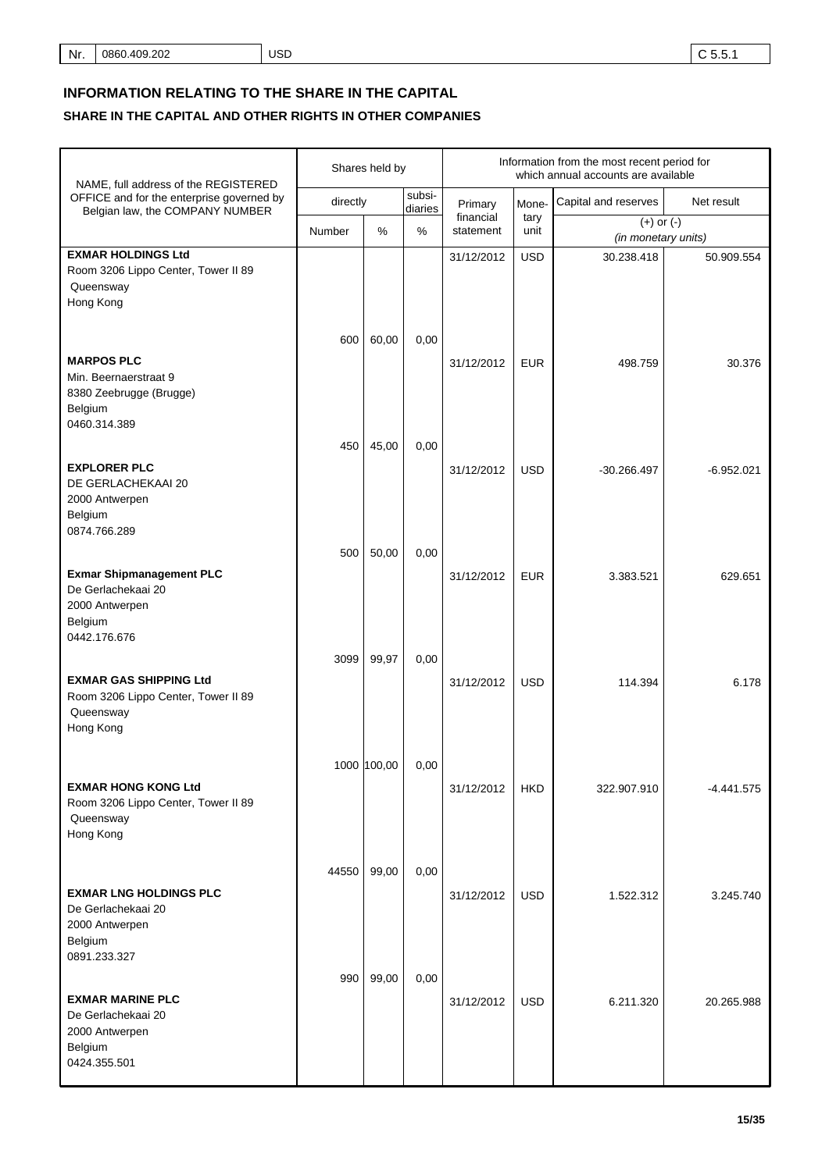# **INFORMATION RELATING TO THE SHARE IN THE CAPITAL**

## **SHARE IN THE CAPITAL AND OTHER RIGHTS IN OTHER COMPANIES**

| NAME, full address of the REGISTERED                                                                           |          | Shares held by |                   | Information from the most recent period for<br>which annual accounts are available |              |                                       |              |
|----------------------------------------------------------------------------------------------------------------|----------|----------------|-------------------|------------------------------------------------------------------------------------|--------------|---------------------------------------|--------------|
| OFFICE and for the enterprise governed by<br>Belgian law, the COMPANY NUMBER                                   | directly |                | subsi-<br>diaries | Primary                                                                            | Mone-        | Capital and reserves                  | Net result   |
|                                                                                                                | Number   | %              | %                 | financial<br>statement                                                             | tary<br>unit | $(+)$ or $(-)$<br>(in monetary units) |              |
| <b>EXMAR HOLDINGS Ltd</b><br>Room 3206 Lippo Center, Tower II 89<br>Queensway<br>Hong Kong                     |          |                |                   | 31/12/2012                                                                         | <b>USD</b>   | 30.238.418                            | 50.909.554   |
| <b>MARPOS PLC</b><br>Min. Beernaerstraat 9<br>8380 Zeebrugge (Brugge)<br>Belgium<br>0460.314.389               | 600      | 60,00          | 0,00              | 31/12/2012                                                                         | <b>EUR</b>   | 498.759                               | 30.376       |
| <b>EXPLORER PLC</b><br>DE GERLACHEKAAI 20<br>2000 Antwerpen<br>Belgium                                         | 450      | 45,00          | 0,00              | 31/12/2012                                                                         | <b>USD</b>   | $-30.266.497$                         | $-6.952.021$ |
| 0874.766.289<br><b>Exmar Shipmanagement PLC</b><br>De Gerlachekaai 20<br>2000 Antwerpen<br>Belgium             | 500      | 50,00          | 0,00              | 31/12/2012                                                                         | <b>EUR</b>   | 3.383.521                             | 629.651      |
| 0442.176.676<br><b>EXMAR GAS SHIPPING Ltd</b><br>Room 3206 Lippo Center, Tower II 89<br>Queensway<br>Hong Kong | 3099     | 99,97          | 0,00              | 31/12/2012                                                                         | <b>USD</b>   | 114.394                               | 6.178        |
| <b>EXMAR HONG KONG Ltd</b><br>Room 3206 Lippo Center, Tower II 89<br>Queensway<br>Hong Kong                    |          | 1000 100,00    | 0,00              | 31/12/2012                                                                         | <b>HKD</b>   | 322.907.910                           | -4.441.575   |
| <b>EXMAR LNG HOLDINGS PLC</b><br>De Gerlachekaai 20<br>2000 Antwerpen<br>Belgium                               | 44550    | 99,00          | 0,00              | 31/12/2012                                                                         | <b>USD</b>   | 1.522.312                             | 3.245.740    |
| 0891.233.327<br><b>EXMAR MARINE PLC</b><br>De Gerlachekaai 20<br>2000 Antwerpen<br>Belgium<br>0424.355.501     | 990      | 99,00          | 0,00              | 31/12/2012                                                                         | <b>USD</b>   | 6.211.320                             | 20.265.988   |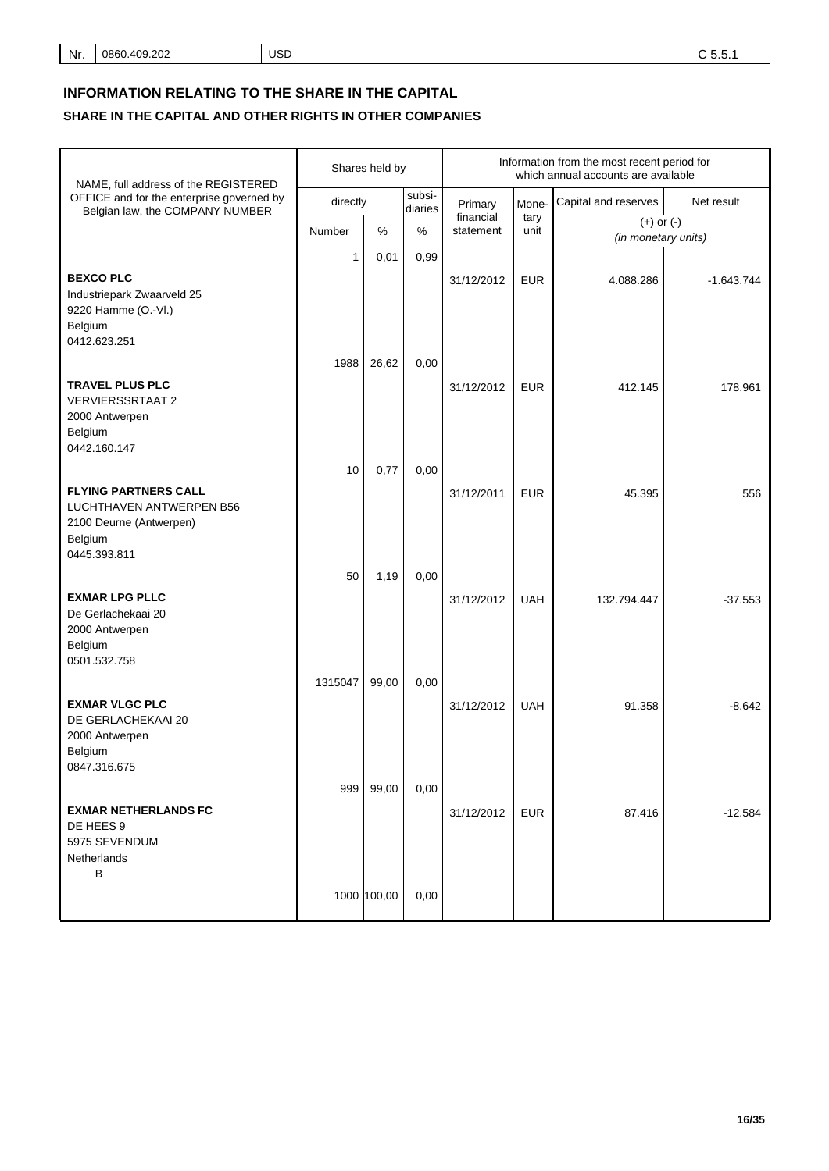# **INFORMATION RELATING TO THE SHARE IN THE CAPITAL**

## **SHARE IN THE CAPITAL AND OTHER RIGHTS IN OTHER COMPANIES**

| NAME, full address of the REGISTERED                                                           |              | Shares held by |                   | Information from the most recent period for<br>which annual accounts are available |              |                                       |              |  |
|------------------------------------------------------------------------------------------------|--------------|----------------|-------------------|------------------------------------------------------------------------------------|--------------|---------------------------------------|--------------|--|
| OFFICE and for the enterprise governed by<br>Belgian law, the COMPANY NUMBER                   | directly     |                | subsi-<br>diaries | Primary                                                                            | Mone-        | Capital and reserves                  | Net result   |  |
|                                                                                                | Number       | %              | %                 | financial<br>statement                                                             | tary<br>unit | $(+)$ or $(-)$<br>(in monetary units) |              |  |
| <b>BEXCO PLC</b><br>Industriepark Zwaarveld 25<br>9220 Hamme (O.-VI.)<br>Belgium               | $\mathbf{1}$ | 0,01           | 0,99              | 31/12/2012                                                                         | <b>EUR</b>   | 4.088.286                             | $-1.643.744$ |  |
| 0412.623.251                                                                                   | 1988         | 26,62          | 0,00              |                                                                                    |              |                                       |              |  |
| <b>TRAVEL PLUS PLC</b><br><b>VERVIERSSRTAAT 2</b><br>2000 Antwerpen<br>Belgium<br>0442.160.147 |              |                |                   | 31/12/2012                                                                         | <b>EUR</b>   | 412.145                               | 178.961      |  |
| <b>FLYING PARTNERS CALL</b>                                                                    | 10           | 0,77           | 0,00              | 31/12/2011                                                                         | <b>EUR</b>   | 45.395                                | 556          |  |
| LUCHTHAVEN ANTWERPEN B56<br>2100 Deurne (Antwerpen)<br>Belgium<br>0445.393.811                 |              |                |                   |                                                                                    |              |                                       |              |  |
| <b>EXMAR LPG PLLC</b><br>De Gerlachekaai 20<br>2000 Antwerpen<br>Belgium<br>0501.532.758       | 50           | 1,19           | 0,00              | 31/12/2012                                                                         | <b>UAH</b>   | 132.794.447                           | $-37.553$    |  |
| <b>EXMAR VLGC PLC</b><br>DE GERLACHEKAAI 20<br>2000 Antwerpen<br>Belgium<br>0847.316.675       | 1315047      | 99,00          | 0,00              | 31/12/2012                                                                         | <b>UAH</b>   | 91.358                                | $-8.642$     |  |
| <b>EXMAR NETHERLANDS FC</b><br>DE HEES 9<br>5975 SEVENDUM<br>Netherlands<br>B                  | 999          | 99,00          | 0,00              | 31/12/2012                                                                         | <b>EUR</b>   | 87.416                                | $-12.584$    |  |
|                                                                                                |              | 1000 100,00    | 0,00              |                                                                                    |              |                                       |              |  |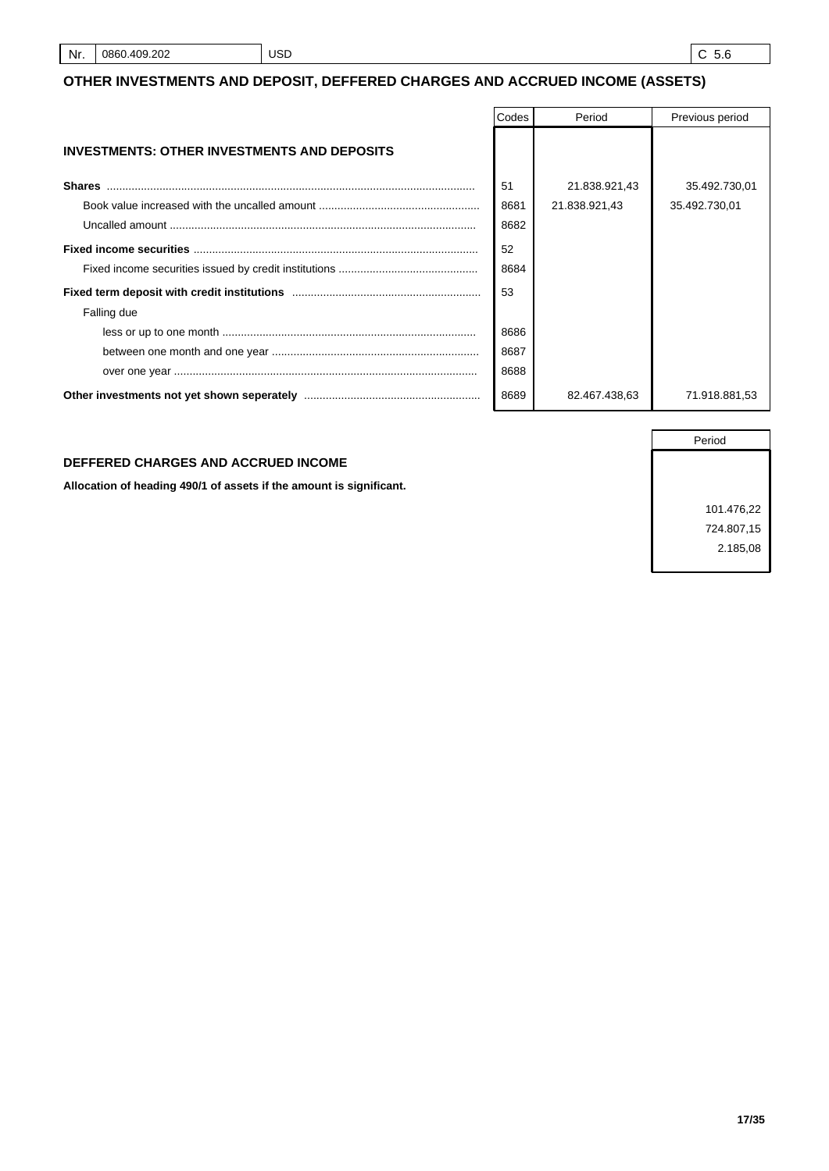## **OTHER INVESTMENTS AND DEPOSIT, DEFFERED CHARGES AND ACCRUED INCOME (ASSETS)**

|                                                    | Codes | Period        | Previous period |
|----------------------------------------------------|-------|---------------|-----------------|
| <b>INVESTMENTS: OTHER INVESTMENTS AND DEPOSITS</b> |       |               |                 |
| <b>Shares</b>                                      | 51    | 21.838.921,43 | 35.492.730,01   |
|                                                    | 8681  | 21.838.921,43 | 35.492.730,01   |
|                                                    | 8682  |               |                 |
|                                                    | 52    |               |                 |
|                                                    | 8684  |               |                 |
|                                                    | 53    |               |                 |
| Falling due                                        |       |               |                 |
|                                                    | 8686  |               |                 |
|                                                    | 8687  |               |                 |
|                                                    | 8688  |               |                 |
|                                                    | 8689  | 82.467.438.63 | 71.918.881,53   |

#### **DEFFERED CHARGES AND ACCRUED INCOME**

**Allocation of heading 490/1 of assets if the amount is significant.**

Period 101.476,22 724.807,15 2.185,08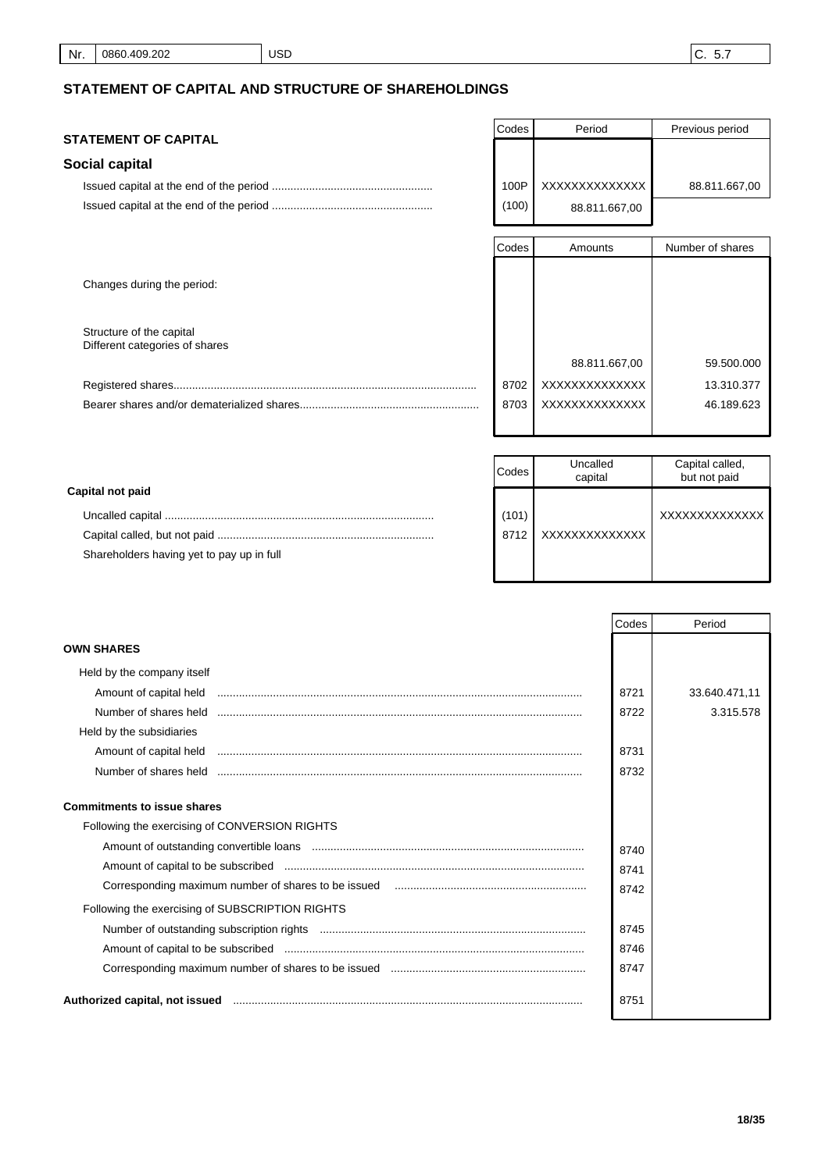# **STATEMENT OF CAPITAL AND STRUCTURE OF SHAREHOLDINGS**

## **STATEMENT OF CAPITAL**

## **Social capital**

| Codes | Period         | Previous period |
|-------|----------------|-----------------|
|       |                |                 |
|       |                |                 |
| 100P  | XXXXXXXXXXXXXX | 88.811.667,00   |
| (100) | 88.811.667,00  |                 |

|                                                            | Codes | Amounts        | Number of shares |
|------------------------------------------------------------|-------|----------------|------------------|
| Changes during the period:                                 |       |                |                  |
| Structure of the capital<br>Different categories of shares |       |                |                  |
|                                                            |       | 88.811.667,00  | 59.500.000       |
|                                                            | 8702  | XXXXXXXXXXXXXX | 13.310.377       |
|                                                            | 8703  | XXXXXXXXXXXXX  | 46.189.623       |

|                                           | Codes | Uncalled<br>capital | Capital called,<br>but not paid |
|-------------------------------------------|-------|---------------------|---------------------------------|
| Capital not paid                          |       |                     |                                 |
|                                           | (101) |                     | XXXXXXXXXXXXXX                  |
|                                           | 8712  | XXXXXXXXXXXXXX      |                                 |
| Shareholders having yet to pay up in full |       |                     |                                 |
|                                           |       |                     |                                 |

|                                                 | Codes | Period        |
|-------------------------------------------------|-------|---------------|
| <b>OWN SHARES</b>                               |       |               |
| Held by the company itself                      |       |               |
| Amount of capital held                          | 8721  | 33.640.471,11 |
| Number of shares held                           | 8722  | 3.315.578     |
| Held by the subsidiaries                        |       |               |
|                                                 | 8731  |               |
| Number of shares held                           | 8732  |               |
| <b>Commitments to issue shares</b>              |       |               |
| Following the exercising of CONVERSION RIGHTS   |       |               |
|                                                 | 8740  |               |
|                                                 | 8741  |               |
|                                                 | 8742  |               |
| Following the exercising of SUBSCRIPTION RIGHTS |       |               |
|                                                 | 8745  |               |
|                                                 | 8746  |               |
|                                                 | 8747  |               |
| Authorized capital, not issued                  | 8751  |               |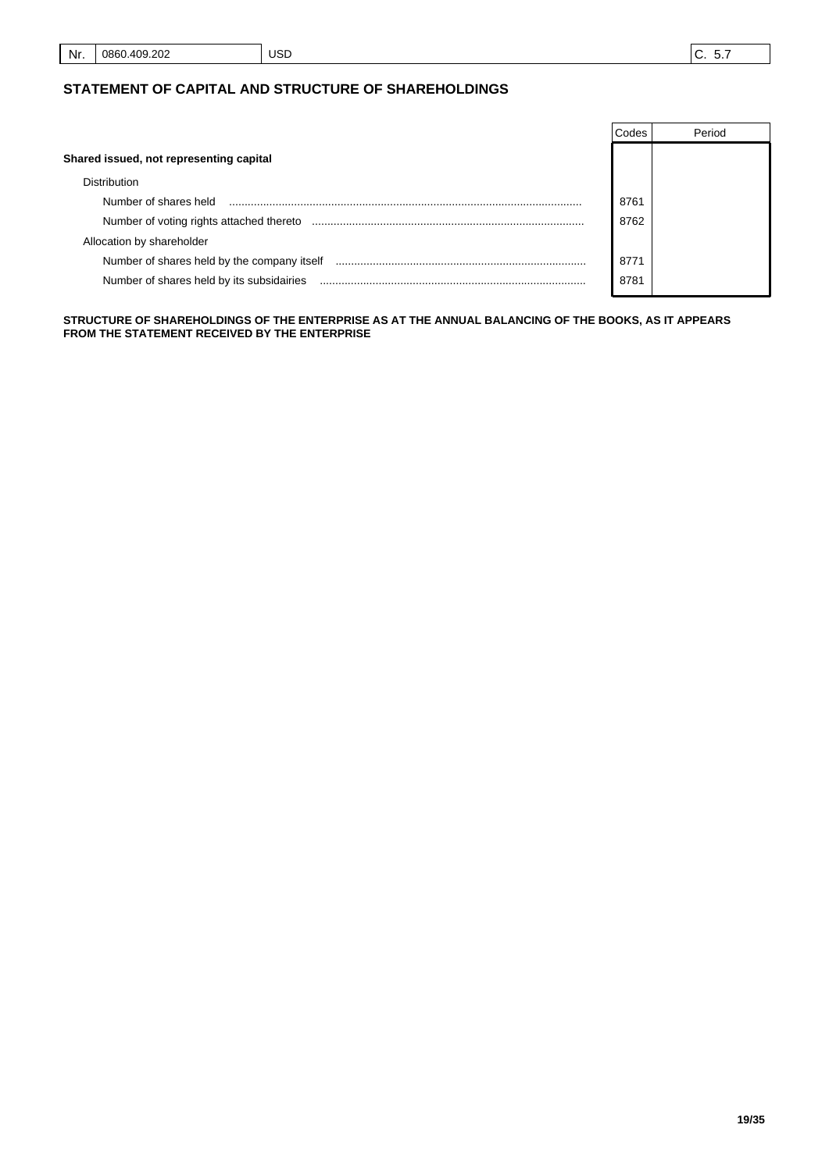## **STATEMENT OF CAPITAL AND STRUCTURE OF SHAREHOLDINGS**

|                                             | Codes | Period |
|---------------------------------------------|-------|--------|
| Shared issued, not representing capital     |       |        |
| <b>Distribution</b>                         |       |        |
| Number of shares held                       | 8761  |        |
| Number of voting rights attached thereto    | 8762  |        |
| Allocation by shareholder                   |       |        |
| Number of shares held by the company itself | 8771  |        |
| Number of shares held by its subsidairies   | 8781  |        |

**STRUCTURE OF SHAREHOLDINGS OF THE ENTERPRISE AS AT THE ANNUAL BALANCING OF THE BOOKS, AS IT APPEARS FROM THE STATEMENT RECEIVED BY THE ENTERPRISE**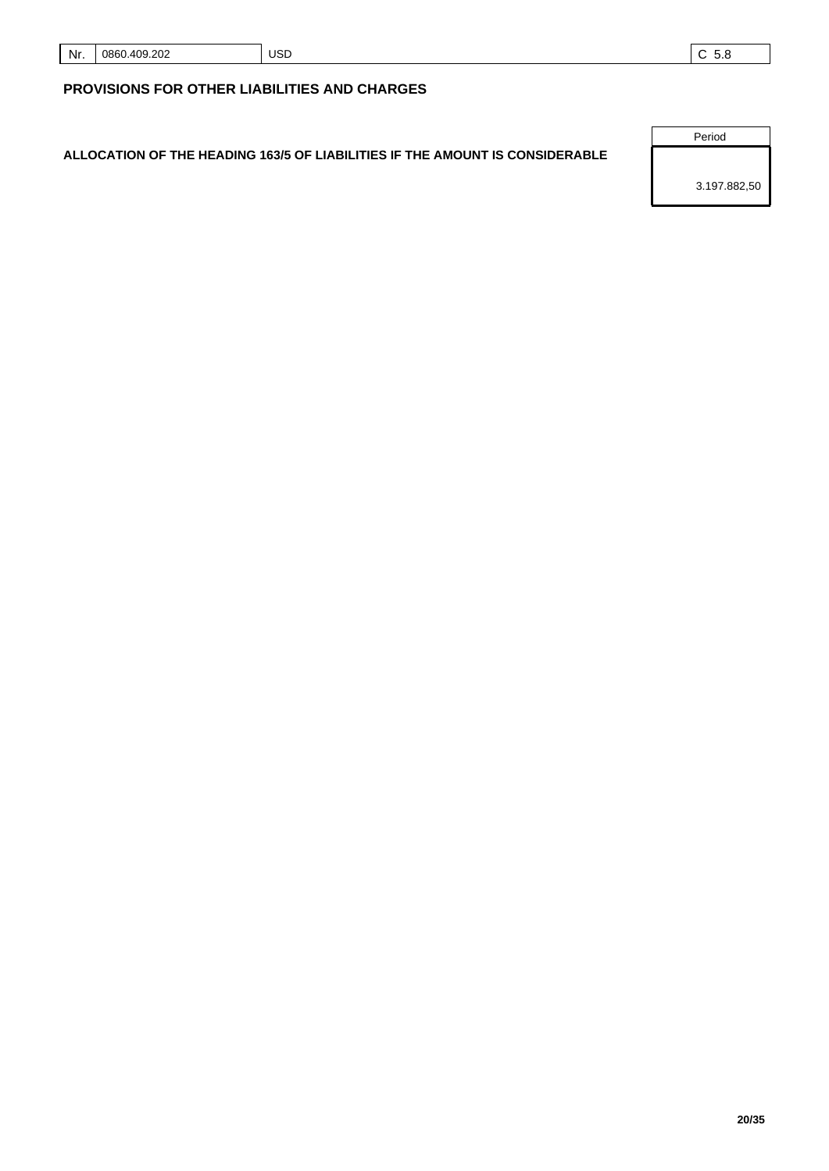| Nr. | .409.202<br>0860. | <b>USD</b> |  |
|-----|-------------------|------------|--|
|-----|-------------------|------------|--|

# **PROVISIONS FOR OTHER LIABILITIES AND CHARGES**

# **ALLOCATION OF THE HEADING 163/5 OF LIABILITIES IF THE AMOUNT IS CONSIDERABLE**

Period

3.197.882,50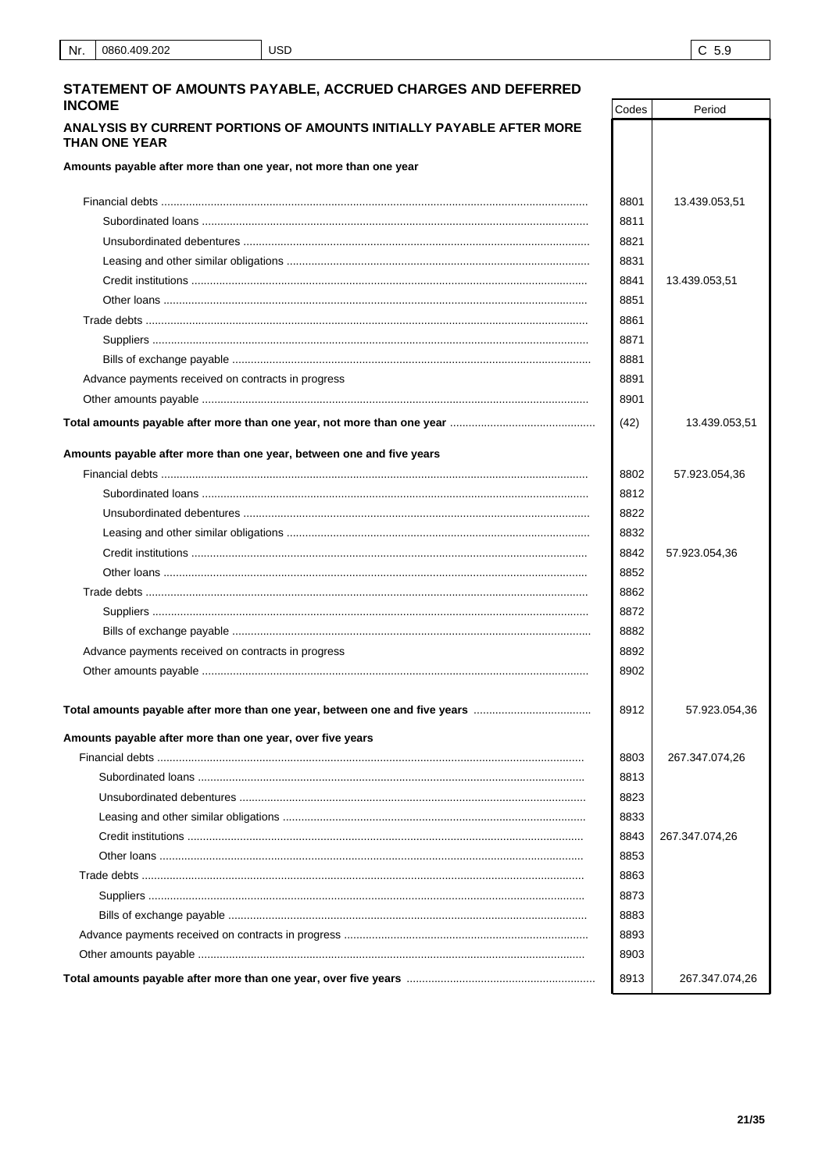Period

Codes

## STATEMENT OF AMOUNTS PAYABLE, ACCRUED CHARGES AND DEFERRED **INCOME**

## ANALYSIS BY CURRENT PORTIONS OF AMOUNTS INITIALLY PAYABLE AFTER MORE THAN ONE YEAR

Amounts payable after more than one year, not more than one year

| Amounts payable after more than one year, not more than one year           |      |                |
|----------------------------------------------------------------------------|------|----------------|
|                                                                            | 8801 | 13.439.053,51  |
|                                                                            | 8811 |                |
|                                                                            | 8821 |                |
|                                                                            | 8831 |                |
|                                                                            | 8841 | 13.439.053,51  |
|                                                                            | 8851 |                |
|                                                                            | 8861 |                |
|                                                                            | 8871 |                |
|                                                                            | 8881 |                |
| Advance payments received on contracts in progress                         | 8891 |                |
|                                                                            | 8901 |                |
|                                                                            | (42) | 13.439.053,51  |
| Amounts payable after more than one year, between one and five years       |      |                |
|                                                                            | 8802 | 57.923.054,36  |
|                                                                            | 8812 |                |
|                                                                            | 8822 |                |
|                                                                            | 8832 |                |
|                                                                            | 8842 | 57.923.054,36  |
|                                                                            | 8852 |                |
|                                                                            | 8862 |                |
|                                                                            | 8872 |                |
|                                                                            | 8882 |                |
| Advance payments received on contracts in progress                         | 8892 |                |
|                                                                            | 8902 |                |
| Total amounts payable after more than one year, between one and five years | 8912 | 57.923.054,36  |
| Amounts payable after more than one year, over five years                  |      |                |
|                                                                            | 8803 | 267.347.074,26 |
|                                                                            | 8813 |                |
|                                                                            | 8823 |                |
|                                                                            | 8833 |                |
|                                                                            | 8843 | 267.347.074,26 |
|                                                                            | 8853 |                |
|                                                                            | 8863 |                |
|                                                                            | 8873 |                |
|                                                                            | 8883 |                |
|                                                                            | 8893 |                |
|                                                                            | 8903 |                |
|                                                                            | 8913 | 267.347.074,26 |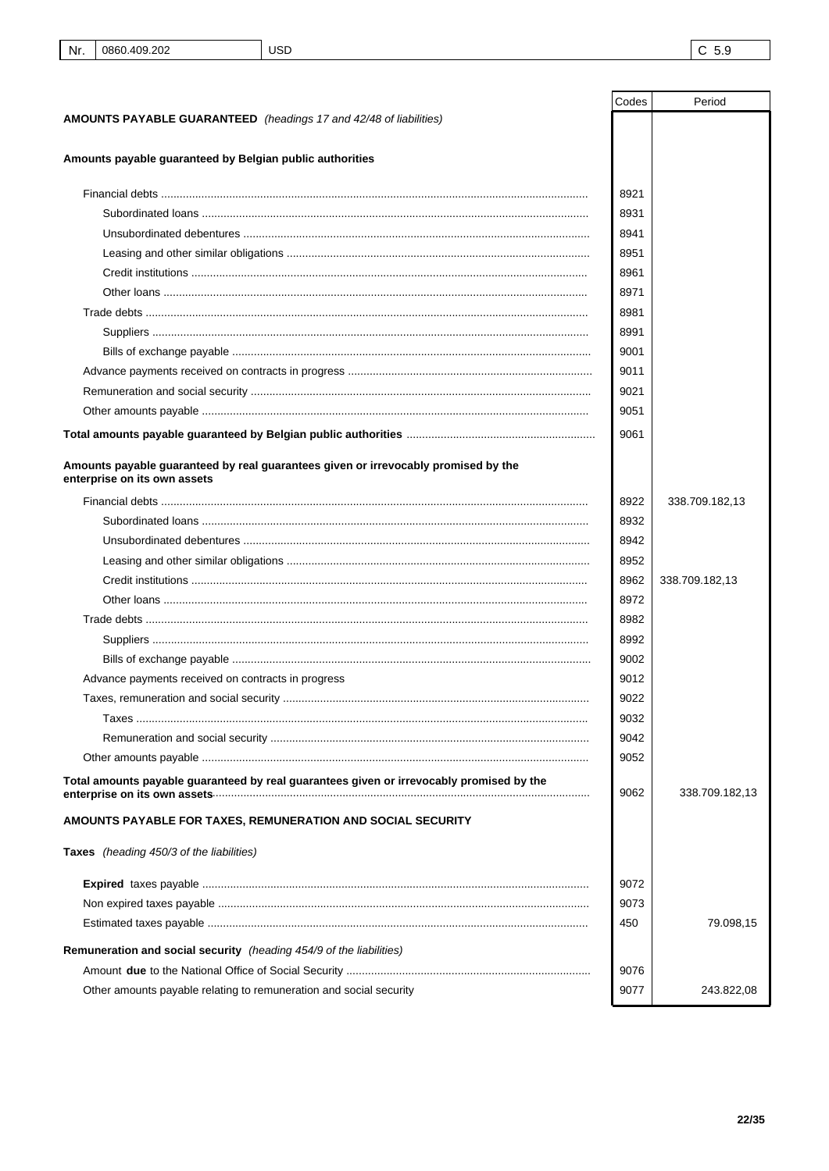|                                                                                                                    | Codes | Period         |
|--------------------------------------------------------------------------------------------------------------------|-------|----------------|
| AMOUNTS PAYABLE GUARANTEED (headings 17 and 42/48 of liabilities)                                                  |       |                |
|                                                                                                                    |       |                |
| Amounts payable guaranteed by Belgian public authorities                                                           |       |                |
|                                                                                                                    | 8921  |                |
|                                                                                                                    | 8931  |                |
|                                                                                                                    | 8941  |                |
|                                                                                                                    | 8951  |                |
|                                                                                                                    | 8961  |                |
|                                                                                                                    | 8971  |                |
|                                                                                                                    | 8981  |                |
|                                                                                                                    | 8991  |                |
|                                                                                                                    | 9001  |                |
|                                                                                                                    | 9011  |                |
|                                                                                                                    | 9021  |                |
|                                                                                                                    | 9051  |                |
|                                                                                                                    |       |                |
|                                                                                                                    | 9061  |                |
| Amounts payable guaranteed by real guarantees given or irrevocably promised by the<br>enterprise on its own assets |       |                |
|                                                                                                                    | 8922  | 338.709.182,13 |
|                                                                                                                    | 8932  |                |
|                                                                                                                    | 8942  |                |
|                                                                                                                    | 8952  |                |
|                                                                                                                    | 8962  | 338.709.182,13 |
|                                                                                                                    | 8972  |                |
|                                                                                                                    | 8982  |                |
|                                                                                                                    | 8992  |                |
|                                                                                                                    | 9002  |                |
| Advance payments received on contracts in progress                                                                 | 9012  |                |
|                                                                                                                    | 9022  |                |
|                                                                                                                    | 9032  |                |
|                                                                                                                    | 9042  |                |
|                                                                                                                    | 9052  |                |
| Total amounts payable guaranteed by real guarantees given or irrevocably promised by the                           | 9062  | 338.709.182,13 |
| AMOUNTS PAYABLE FOR TAXES, REMUNERATION AND SOCIAL SECURITY                                                        |       |                |
| Taxes (heading 450/3 of the liabilities)                                                                           |       |                |
|                                                                                                                    | 9072  |                |
|                                                                                                                    | 9073  |                |
|                                                                                                                    | 450   | 79.098,15      |
| Remuneration and social security (heading 454/9 of the liabilities)                                                |       |                |
|                                                                                                                    | 9076  |                |
| Other amounts payable relating to remuneration and social security                                                 | 9077  | 243.822,08     |
|                                                                                                                    |       |                |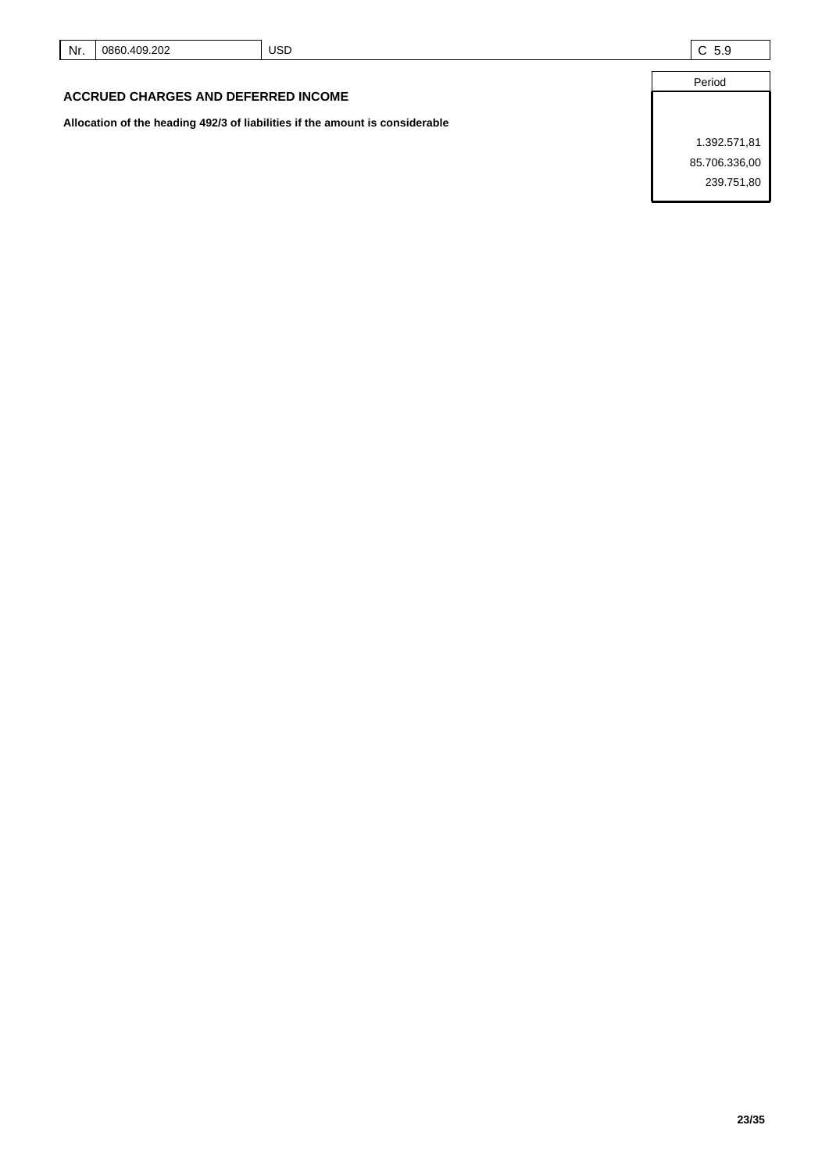| Nr.                                        | 0860.409.202 | JSD | C <sub>5.9</sub> |
|--------------------------------------------|--------------|-----|------------------|
|                                            |              |     | Period           |
| <b>ACCRUED CHARGES AND DEFERRED INCOME</b> |              |     |                  |

**Allocation of the heading 492/3 of liabilities if the amount is considerable**

1.392.571,81 85.706.336,00 239.751,80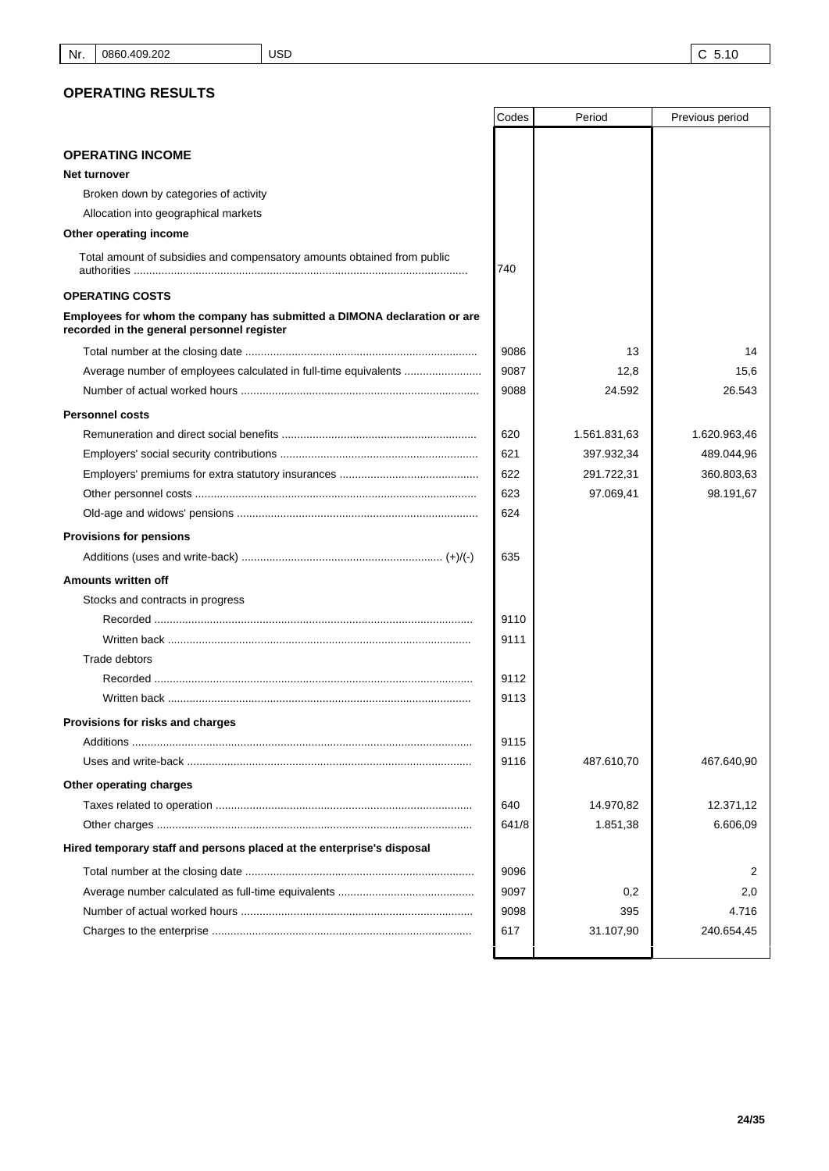|                                                                                                                        | Codes | Period       | Previous period |
|------------------------------------------------------------------------------------------------------------------------|-------|--------------|-----------------|
|                                                                                                                        |       |              |                 |
| <b>OPERATING INCOME</b>                                                                                                |       |              |                 |
| Net turnover                                                                                                           |       |              |                 |
| Broken down by categories of activity                                                                                  |       |              |                 |
| Allocation into geographical markets                                                                                   |       |              |                 |
| Other operating income                                                                                                 |       |              |                 |
| Total amount of subsidies and compensatory amounts obtained from public                                                | 740   |              |                 |
| <b>OPERATING COSTS</b>                                                                                                 |       |              |                 |
| Employees for whom the company has submitted a DIMONA declaration or are<br>recorded in the general personnel register |       |              |                 |
|                                                                                                                        | 9086  | 13           | 14              |
| Average number of employees calculated in full-time equivalents                                                        | 9087  | 12,8         | 15,6            |
|                                                                                                                        | 9088  | 24.592       | 26.543          |
| <b>Personnel costs</b>                                                                                                 |       |              |                 |
|                                                                                                                        | 620   | 1.561.831,63 | 1.620.963,46    |
|                                                                                                                        | 621   | 397.932,34   | 489.044,96      |
|                                                                                                                        | 622   | 291.722,31   | 360.803,63      |
|                                                                                                                        | 623   | 97.069,41    | 98.191,67       |
|                                                                                                                        | 624   |              |                 |
| <b>Provisions for pensions</b>                                                                                         |       |              |                 |
|                                                                                                                        | 635   |              |                 |
| Amounts written off                                                                                                    |       |              |                 |
| Stocks and contracts in progress                                                                                       |       |              |                 |
|                                                                                                                        | 9110  |              |                 |
| Written back ……………………………………………………………………………………                                                                          | 9111  |              |                 |
| Trade debtors                                                                                                          |       |              |                 |
|                                                                                                                        | 9112  |              |                 |
| Written back ……………………………………………………………………………………                                                                          | 9113  |              |                 |
| Provisions for risks and charges                                                                                       |       |              |                 |
|                                                                                                                        | 9115  |              |                 |
|                                                                                                                        | 9116  | 487.610,70   | 467.640,90      |
| Other operating charges                                                                                                |       |              |                 |
|                                                                                                                        | 640   | 14.970,82    | 12.371,12       |
|                                                                                                                        | 641/8 | 1.851,38     | 6.606,09        |
| Hired temporary staff and persons placed at the enterprise's disposal                                                  |       |              |                 |
|                                                                                                                        | 9096  |              | 2               |
|                                                                                                                        | 9097  | 0,2          | 2,0             |
|                                                                                                                        | 9098  | 395          | 4.716           |
|                                                                                                                        | 617   | 31.107,90    | 240.654,45      |
|                                                                                                                        |       |              |                 |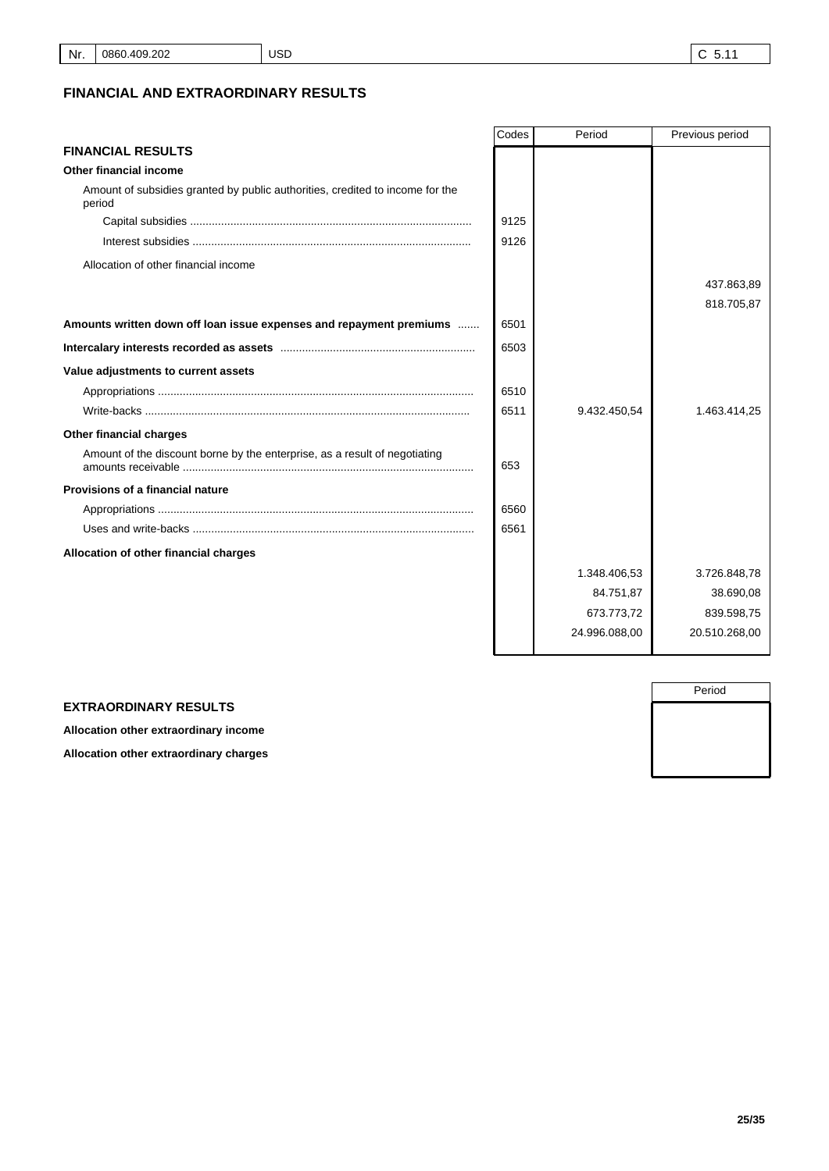# **FINANCIAL AND EXTRAORDINARY RESULTS**

|                                                                                         | Codes | Period        | Previous period |
|-----------------------------------------------------------------------------------------|-------|---------------|-----------------|
| <b>FINANCIAL RESULTS</b>                                                                |       |               |                 |
| Other financial income                                                                  |       |               |                 |
| Amount of subsidies granted by public authorities, credited to income for the<br>period |       |               |                 |
|                                                                                         | 9125  |               |                 |
|                                                                                         | 9126  |               |                 |
| Allocation of other financial income                                                    |       |               |                 |
|                                                                                         |       |               | 437.863,89      |
|                                                                                         |       |               | 818.705,87      |
| Amounts written down off loan issue expenses and repayment premiums                     | 6501  |               |                 |
|                                                                                         | 6503  |               |                 |
| Value adjustments to current assets                                                     |       |               |                 |
|                                                                                         | 6510  |               |                 |
|                                                                                         | 6511  | 9.432.450,54  | 1.463.414,25    |
| Other financial charges                                                                 |       |               |                 |
| Amount of the discount borne by the enterprise, as a result of negotiating              | 653   |               |                 |
| <b>Provisions of a financial nature</b>                                                 |       |               |                 |
|                                                                                         | 6560  |               |                 |
|                                                                                         | 6561  |               |                 |
| Allocation of other financial charges                                                   |       |               |                 |
|                                                                                         |       | 1.348.406,53  | 3.726.848,78    |
|                                                                                         |       | 84.751,87     | 38.690,08       |
|                                                                                         |       | 673.773,72    | 839.598,75      |
|                                                                                         |       | 24.996.088,00 | 20.510.268,00   |
|                                                                                         |       |               |                 |

|  | <b>EXTRAORDINARY RESULTS</b> |  |  |
|--|------------------------------|--|--|
|--|------------------------------|--|--|

**Allocation other extraordinary income**

**Allocation other extraordinary charges**

Period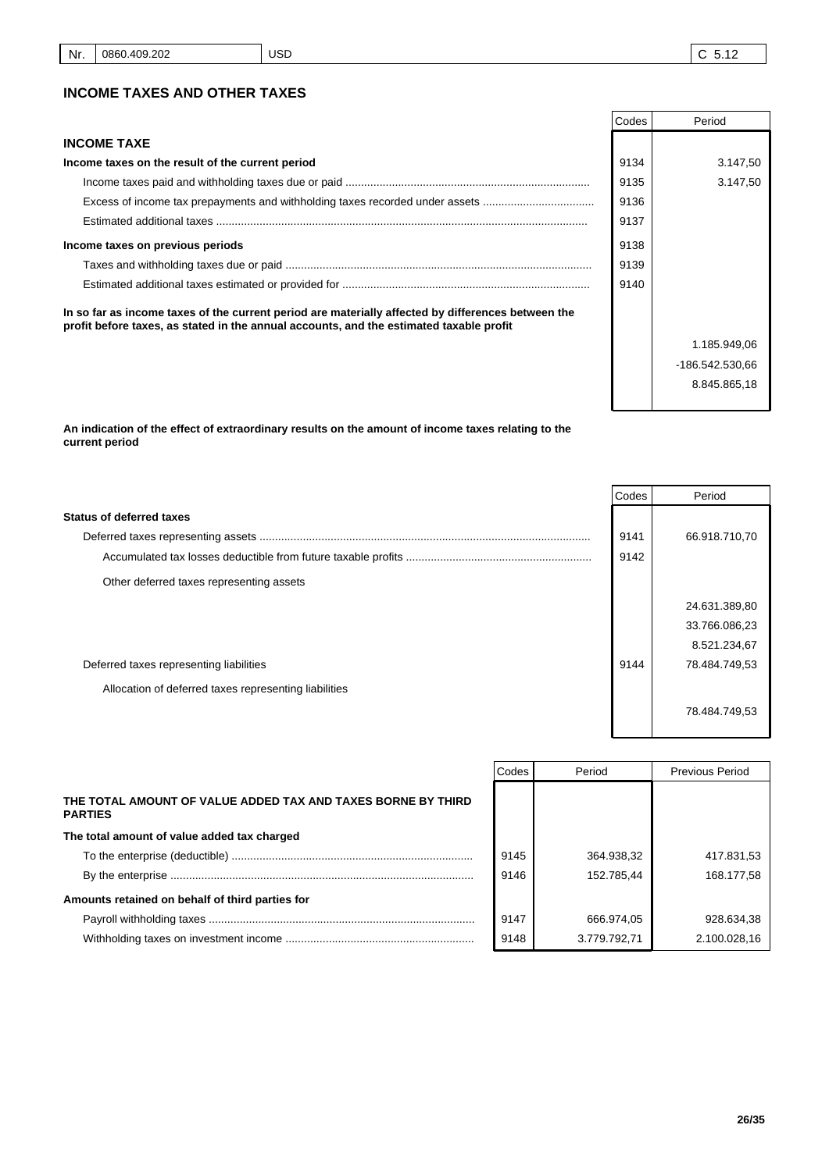|                                                                                                                                                                                               | Codes | Period          |
|-----------------------------------------------------------------------------------------------------------------------------------------------------------------------------------------------|-------|-----------------|
| <b>INCOME TAXE</b>                                                                                                                                                                            |       |                 |
| Income taxes on the result of the current period                                                                                                                                              | 9134  | 3.147,50        |
|                                                                                                                                                                                               | 9135  | 3.147.50        |
| Excess of income tax prepayments and withholding taxes recorded under assets                                                                                                                  | 9136  |                 |
|                                                                                                                                                                                               | 9137  |                 |
| Income taxes on previous periods                                                                                                                                                              | 9138  |                 |
|                                                                                                                                                                                               | 9139  |                 |
|                                                                                                                                                                                               | 9140  |                 |
| In so far as income taxes of the current period are materially affected by differences between the<br>profit before taxes, as stated in the annual accounts, and the estimated taxable profit |       |                 |
|                                                                                                                                                                                               |       | 1.185.949,06    |
|                                                                                                                                                                                               |       | -186.542.530.66 |

**An indication of the effect of extraordinary results on the amount of income taxes relating to the current period**

|                                                       | Codes | Period        |
|-------------------------------------------------------|-------|---------------|
| <b>Status of deferred taxes</b>                       |       |               |
|                                                       | 9141  | 66.918.710,70 |
|                                                       | 9142  |               |
| Other deferred taxes representing assets              |       |               |
|                                                       |       | 24.631.389,80 |
|                                                       |       | 33.766.086,23 |
|                                                       |       | 8.521.234,67  |
| Deferred taxes representing liabilities               | 9144  | 78.484.749,53 |
| Allocation of deferred taxes representing liabilities |       |               |
|                                                       |       | 78.484.749,53 |

|                                                                                | Codes | Period       | <b>Previous Period</b> |
|--------------------------------------------------------------------------------|-------|--------------|------------------------|
| THE TOTAL AMOUNT OF VALUE ADDED TAX AND TAXES BORNE BY THIRD<br><b>PARTIES</b> |       |              |                        |
| The total amount of value added tax charged                                    |       |              |                        |
|                                                                                | 9145  | 364.938,32   | 417.831,53             |
|                                                                                | 9146  | 152.785,44   | 168.177.58             |
| Amounts retained on behalf of third parties for                                |       |              |                        |
|                                                                                | 9147  | 666.974,05   | 928.634.38             |
|                                                                                | 9148  | 3.779.792,71 | 2.100.028,16           |

8.845.865,18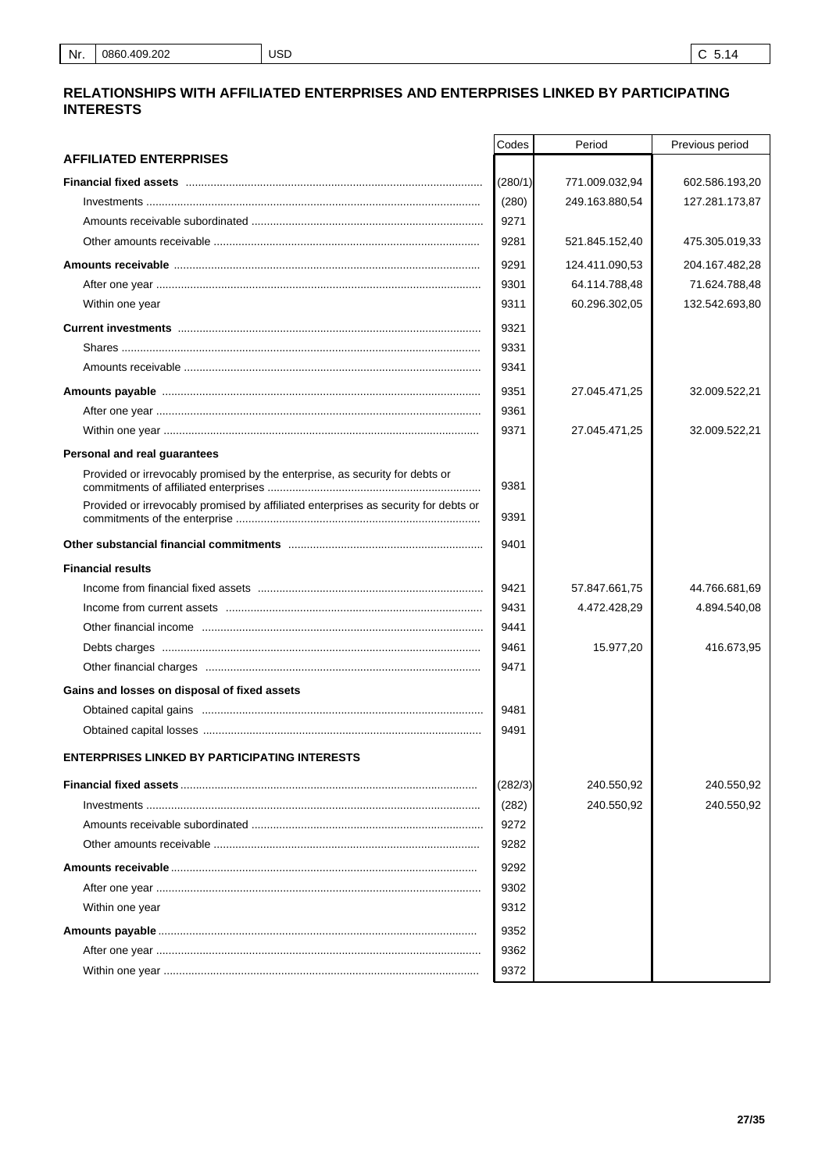## RELATIONSHIPS WITH AFFILIATED ENTERPRISES AND ENTERPRISES LINKED BY PARTICIPATING **INTERESTS**

| <b>AFFILIATED ENTERPRISES</b><br>(280/1)<br>771.009.032,94<br>602.586.193,20<br>(280)<br>249.163.880,54<br>127.281.173,87<br>9271<br>9281<br>521.845.152,40<br>475.305.019,33<br>9291<br>124.411.090,53<br>204.167.482,28<br>9301<br>64.114.788,48<br>71.624.788,48<br>9311<br>60.296.302,05<br>132.542.693,80<br>Within one year<br>9321<br>9331<br>9341<br>9351<br>27.045.471,25<br>32.009.522,21<br>9361<br>9371<br>27.045.471,25<br>32.009.522,21<br>Personal and real guarantees<br>Provided or irrevocably promised by the enterprise, as security for debts or<br>9381<br>Provided or irrevocably promised by affiliated enterprises as security for debts or<br>9391<br>9401<br><b>Financial results</b><br>9421<br>57.847.661,75<br>44.766.681,69<br>9431<br>4.472.428,29<br>4.894.540,08<br>9441<br>9461<br>15.977,20<br>416.673,95<br>9471<br>Gains and losses on disposal of fixed assets<br>9481<br>9491<br><b>ENTERPRISES LINKED BY PARTICIPATING INTERESTS</b><br>(282/3)<br>240.550,92<br>240.550,92<br>240.550,92<br>(282)<br>240.550,92<br>9272<br>9282<br>9292<br>9302<br>9312<br>Within one year<br>9352 | Codes | Period | Previous period |
|------------------------------------------------------------------------------------------------------------------------------------------------------------------------------------------------------------------------------------------------------------------------------------------------------------------------------------------------------------------------------------------------------------------------------------------------------------------------------------------------------------------------------------------------------------------------------------------------------------------------------------------------------------------------------------------------------------------------------------------------------------------------------------------------------------------------------------------------------------------------------------------------------------------------------------------------------------------------------------------------------------------------------------------------------------------------------------------------------------------------------|-------|--------|-----------------|
|                                                                                                                                                                                                                                                                                                                                                                                                                                                                                                                                                                                                                                                                                                                                                                                                                                                                                                                                                                                                                                                                                                                              |       |        |                 |
|                                                                                                                                                                                                                                                                                                                                                                                                                                                                                                                                                                                                                                                                                                                                                                                                                                                                                                                                                                                                                                                                                                                              |       |        |                 |
|                                                                                                                                                                                                                                                                                                                                                                                                                                                                                                                                                                                                                                                                                                                                                                                                                                                                                                                                                                                                                                                                                                                              |       |        |                 |
|                                                                                                                                                                                                                                                                                                                                                                                                                                                                                                                                                                                                                                                                                                                                                                                                                                                                                                                                                                                                                                                                                                                              |       |        |                 |
|                                                                                                                                                                                                                                                                                                                                                                                                                                                                                                                                                                                                                                                                                                                                                                                                                                                                                                                                                                                                                                                                                                                              |       |        |                 |
|                                                                                                                                                                                                                                                                                                                                                                                                                                                                                                                                                                                                                                                                                                                                                                                                                                                                                                                                                                                                                                                                                                                              |       |        |                 |
|                                                                                                                                                                                                                                                                                                                                                                                                                                                                                                                                                                                                                                                                                                                                                                                                                                                                                                                                                                                                                                                                                                                              |       |        |                 |
|                                                                                                                                                                                                                                                                                                                                                                                                                                                                                                                                                                                                                                                                                                                                                                                                                                                                                                                                                                                                                                                                                                                              |       |        |                 |
|                                                                                                                                                                                                                                                                                                                                                                                                                                                                                                                                                                                                                                                                                                                                                                                                                                                                                                                                                                                                                                                                                                                              |       |        |                 |
|                                                                                                                                                                                                                                                                                                                                                                                                                                                                                                                                                                                                                                                                                                                                                                                                                                                                                                                                                                                                                                                                                                                              |       |        |                 |
|                                                                                                                                                                                                                                                                                                                                                                                                                                                                                                                                                                                                                                                                                                                                                                                                                                                                                                                                                                                                                                                                                                                              |       |        |                 |
|                                                                                                                                                                                                                                                                                                                                                                                                                                                                                                                                                                                                                                                                                                                                                                                                                                                                                                                                                                                                                                                                                                                              |       |        |                 |
|                                                                                                                                                                                                                                                                                                                                                                                                                                                                                                                                                                                                                                                                                                                                                                                                                                                                                                                                                                                                                                                                                                                              |       |        |                 |
|                                                                                                                                                                                                                                                                                                                                                                                                                                                                                                                                                                                                                                                                                                                                                                                                                                                                                                                                                                                                                                                                                                                              |       |        |                 |
|                                                                                                                                                                                                                                                                                                                                                                                                                                                                                                                                                                                                                                                                                                                                                                                                                                                                                                                                                                                                                                                                                                                              |       |        |                 |
|                                                                                                                                                                                                                                                                                                                                                                                                                                                                                                                                                                                                                                                                                                                                                                                                                                                                                                                                                                                                                                                                                                                              |       |        |                 |
|                                                                                                                                                                                                                                                                                                                                                                                                                                                                                                                                                                                                                                                                                                                                                                                                                                                                                                                                                                                                                                                                                                                              |       |        |                 |
|                                                                                                                                                                                                                                                                                                                                                                                                                                                                                                                                                                                                                                                                                                                                                                                                                                                                                                                                                                                                                                                                                                                              |       |        |                 |
|                                                                                                                                                                                                                                                                                                                                                                                                                                                                                                                                                                                                                                                                                                                                                                                                                                                                                                                                                                                                                                                                                                                              |       |        |                 |
|                                                                                                                                                                                                                                                                                                                                                                                                                                                                                                                                                                                                                                                                                                                                                                                                                                                                                                                                                                                                                                                                                                                              |       |        |                 |
|                                                                                                                                                                                                                                                                                                                                                                                                                                                                                                                                                                                                                                                                                                                                                                                                                                                                                                                                                                                                                                                                                                                              |       |        |                 |
|                                                                                                                                                                                                                                                                                                                                                                                                                                                                                                                                                                                                                                                                                                                                                                                                                                                                                                                                                                                                                                                                                                                              |       |        |                 |
|                                                                                                                                                                                                                                                                                                                                                                                                                                                                                                                                                                                                                                                                                                                                                                                                                                                                                                                                                                                                                                                                                                                              |       |        |                 |
|                                                                                                                                                                                                                                                                                                                                                                                                                                                                                                                                                                                                                                                                                                                                                                                                                                                                                                                                                                                                                                                                                                                              |       |        |                 |
|                                                                                                                                                                                                                                                                                                                                                                                                                                                                                                                                                                                                                                                                                                                                                                                                                                                                                                                                                                                                                                                                                                                              |       |        |                 |
|                                                                                                                                                                                                                                                                                                                                                                                                                                                                                                                                                                                                                                                                                                                                                                                                                                                                                                                                                                                                                                                                                                                              |       |        |                 |
|                                                                                                                                                                                                                                                                                                                                                                                                                                                                                                                                                                                                                                                                                                                                                                                                                                                                                                                                                                                                                                                                                                                              |       |        |                 |
|                                                                                                                                                                                                                                                                                                                                                                                                                                                                                                                                                                                                                                                                                                                                                                                                                                                                                                                                                                                                                                                                                                                              |       |        |                 |
|                                                                                                                                                                                                                                                                                                                                                                                                                                                                                                                                                                                                                                                                                                                                                                                                                                                                                                                                                                                                                                                                                                                              |       |        |                 |
|                                                                                                                                                                                                                                                                                                                                                                                                                                                                                                                                                                                                                                                                                                                                                                                                                                                                                                                                                                                                                                                                                                                              |       |        |                 |
|                                                                                                                                                                                                                                                                                                                                                                                                                                                                                                                                                                                                                                                                                                                                                                                                                                                                                                                                                                                                                                                                                                                              |       |        |                 |
|                                                                                                                                                                                                                                                                                                                                                                                                                                                                                                                                                                                                                                                                                                                                                                                                                                                                                                                                                                                                                                                                                                                              |       |        |                 |
|                                                                                                                                                                                                                                                                                                                                                                                                                                                                                                                                                                                                                                                                                                                                                                                                                                                                                                                                                                                                                                                                                                                              |       |        |                 |
|                                                                                                                                                                                                                                                                                                                                                                                                                                                                                                                                                                                                                                                                                                                                                                                                                                                                                                                                                                                                                                                                                                                              |       |        |                 |
|                                                                                                                                                                                                                                                                                                                                                                                                                                                                                                                                                                                                                                                                                                                                                                                                                                                                                                                                                                                                                                                                                                                              |       |        |                 |
|                                                                                                                                                                                                                                                                                                                                                                                                                                                                                                                                                                                                                                                                                                                                                                                                                                                                                                                                                                                                                                                                                                                              |       |        |                 |
|                                                                                                                                                                                                                                                                                                                                                                                                                                                                                                                                                                                                                                                                                                                                                                                                                                                                                                                                                                                                                                                                                                                              |       |        |                 |
|                                                                                                                                                                                                                                                                                                                                                                                                                                                                                                                                                                                                                                                                                                                                                                                                                                                                                                                                                                                                                                                                                                                              | 9362  |        |                 |
| 9372                                                                                                                                                                                                                                                                                                                                                                                                                                                                                                                                                                                                                                                                                                                                                                                                                                                                                                                                                                                                                                                                                                                         |       |        |                 |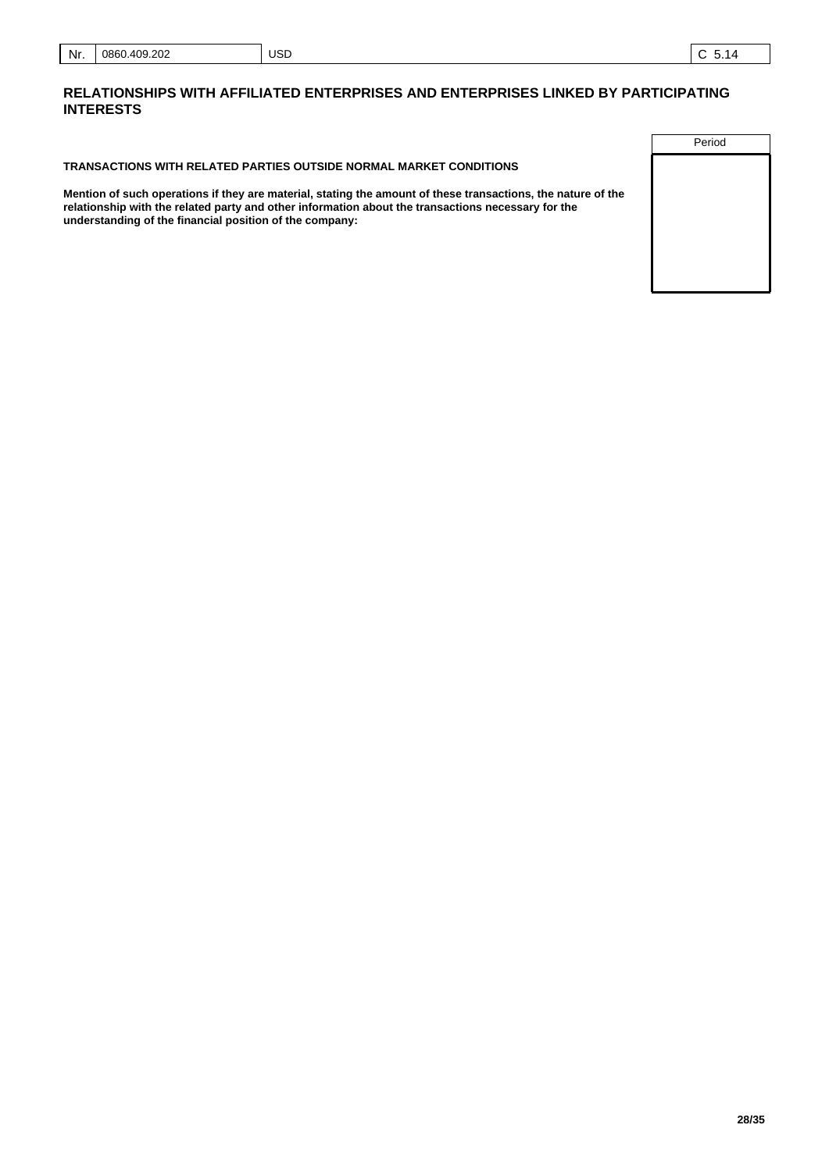### **RELATIONSHIPS WITH AFFILIATED ENTERPRISES AND ENTERPRISES LINKED BY PARTICIPATING INTERESTS**

**TRANSACTIONS WITH RELATED PARTIES OUTSIDE NORMAL MARKET CONDITIONS**

USD

**Mention of such operations if they are material, stating the amount of these transactions, the nature of the relationship with the related party and other information about the transactions necessary for the understanding of the financial position of the company:**

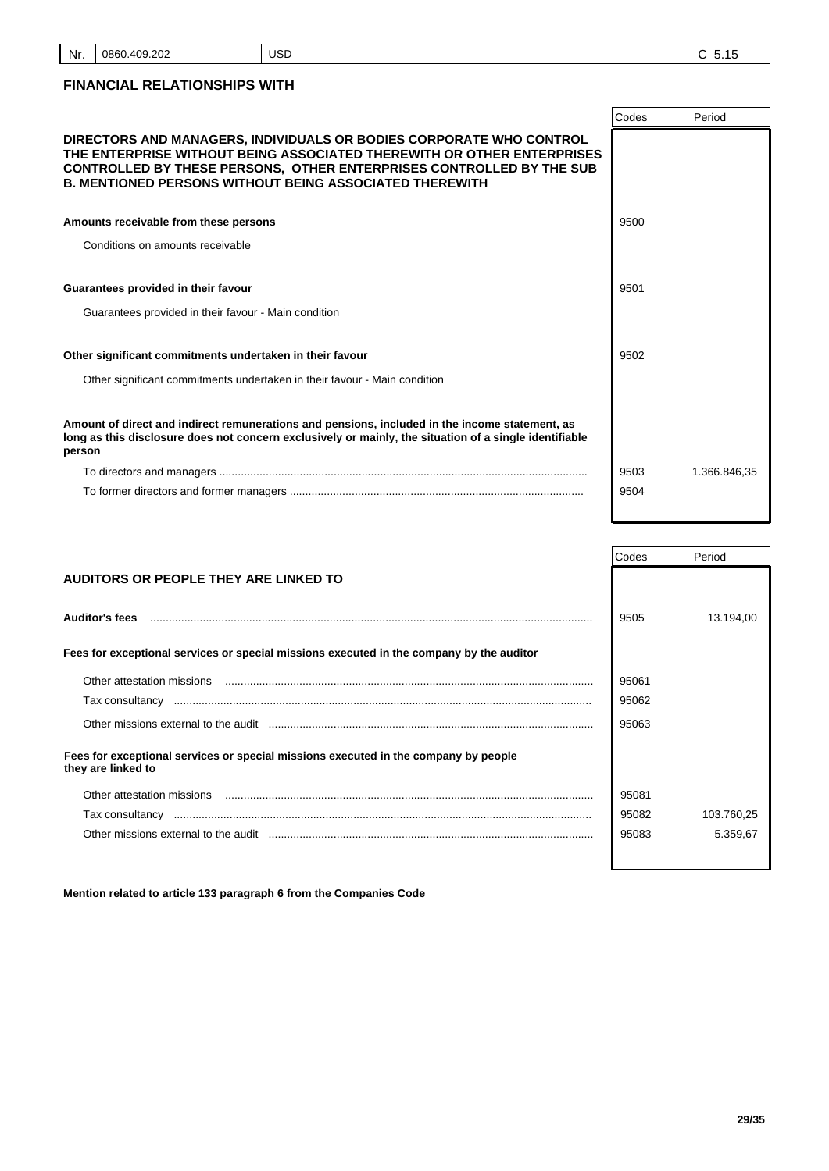# **FINANCIAL RELATIONSHIPS WITH**

|                                                                                                                                                                                                                                                                                         | Codes | Period       |
|-----------------------------------------------------------------------------------------------------------------------------------------------------------------------------------------------------------------------------------------------------------------------------------------|-------|--------------|
| DIRECTORS AND MANAGERS, INDIVIDUALS OR BODIES CORPORATE WHO CONTROL<br>THE ENTERPRISE WITHOUT BEING ASSOCIATED THEREWITH OR OTHER ENTERPRISES<br>CONTROLLED BY THESE PERSONS, OTHER ENTERPRISES CONTROLLED BY THE SUB<br><b>B. MENTIONED PERSONS WITHOUT BEING ASSOCIATED THEREWITH</b> |       |              |
| Amounts receivable from these persons                                                                                                                                                                                                                                                   | 9500  |              |
| Conditions on amounts receivable                                                                                                                                                                                                                                                        |       |              |
|                                                                                                                                                                                                                                                                                         |       |              |
| Guarantees provided in their favour                                                                                                                                                                                                                                                     | 9501  |              |
| Guarantees provided in their favour - Main condition                                                                                                                                                                                                                                    |       |              |
|                                                                                                                                                                                                                                                                                         |       |              |
| Other significant commitments undertaken in their favour                                                                                                                                                                                                                                | 9502  |              |
| Other significant commitments undertaken in their favour - Main condition                                                                                                                                                                                                               |       |              |
|                                                                                                                                                                                                                                                                                         |       |              |
| Amount of direct and indirect remunerations and pensions, included in the income statement, as<br>long as this disclosure does not concern exclusively or mainly, the situation of a single identifiable<br>person                                                                      |       |              |
|                                                                                                                                                                                                                                                                                         | 9503  | 1.366.846,35 |
|                                                                                                                                                                                                                                                                                         | 9504  |              |
|                                                                                                                                                                                                                                                                                         |       |              |

|                                                                                                                                                                                                                               | Codes | Period     |
|-------------------------------------------------------------------------------------------------------------------------------------------------------------------------------------------------------------------------------|-------|------------|
| AUDITORS OR PEOPLE THEY ARE LINKED TO                                                                                                                                                                                         |       |            |
|                                                                                                                                                                                                                               |       |            |
| <b>Auditor's fees</b>                                                                                                                                                                                                         | 9505  | 13.194,00  |
| Fees for exceptional services or special missions executed in the company by the auditor                                                                                                                                      |       |            |
|                                                                                                                                                                                                                               |       |            |
|                                                                                                                                                                                                                               | 95061 |            |
|                                                                                                                                                                                                                               | 95062 |            |
| Other missions external to the audit manufactured and the substitution of the state and the state of the substantial of the substantial of the state and the state of the state of the state of the state of the state of the | 95063 |            |
| Fees for exceptional services or special missions executed in the company by people<br>they are linked to                                                                                                                     |       |            |
|                                                                                                                                                                                                                               | 95081 |            |
|                                                                                                                                                                                                                               | 95082 | 103.760,25 |
|                                                                                                                                                                                                                               | 95083 | 5.359,67   |
|                                                                                                                                                                                                                               |       |            |

**Mention related to article 133 paragraph 6 from the Companies Code**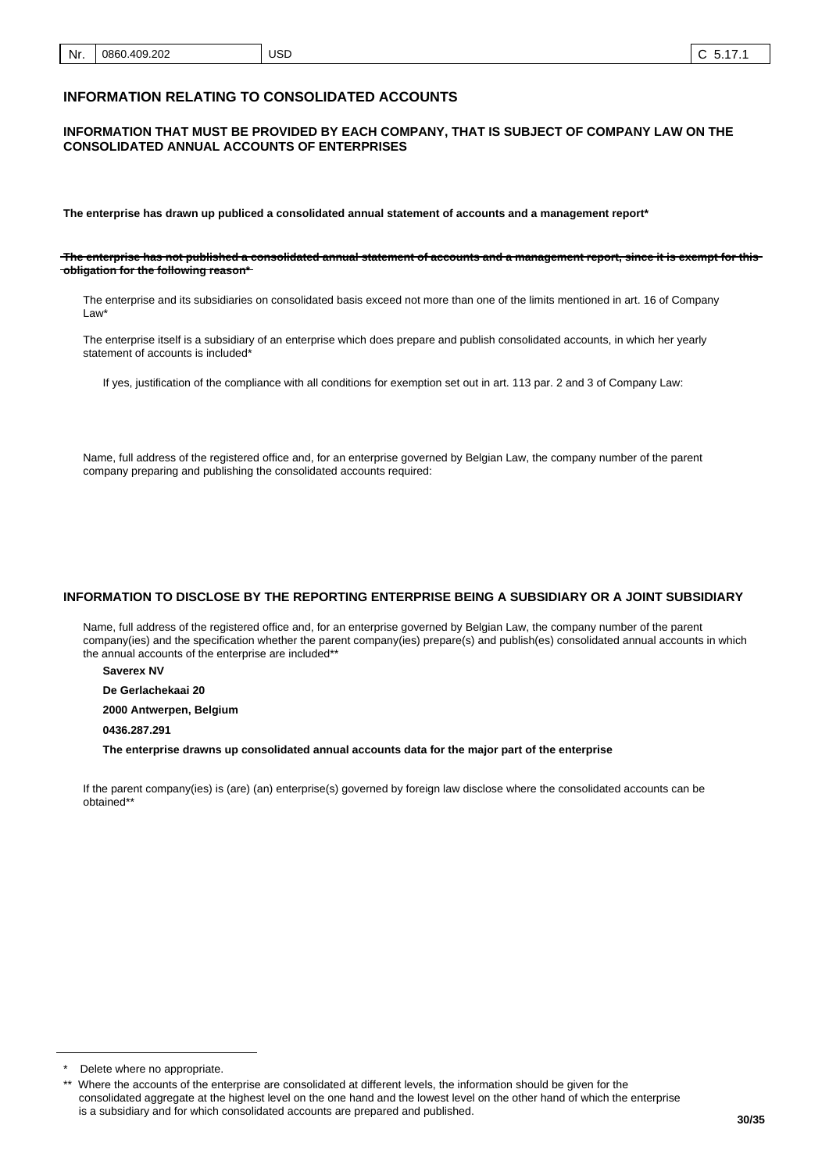## **INFORMATION RELATING TO CONSOLIDATED ACCOUNTS**

#### **INFORMATION THAT MUST BE PROVIDED BY EACH COMPANY, THAT IS SUBJECT OF COMPANY LAW ON THE CONSOLIDATED ANNUAL ACCOUNTS OF ENTERPRISES**

**The enterprise has drawn up publiced a consolidated annual statement of accounts and a management report\***

**The enterprise has not published a consolidated annual statement of accounts and a management report, since it is exempt for this obligation for the following reason\***

The enterprise and its subsidiaries on consolidated basis exceed not more than one of the limits mentioned in art. 16 of Company Law\*

The enterprise itself is a subsidiary of an enterprise which does prepare and publish consolidated accounts, in which her yearly statement of accounts is included\*

If yes, justification of the compliance with all conditions for exemption set out in art. 113 par. 2 and 3 of Company Law:

Name, full address of the registered office and, for an enterprise governed by Belgian Law, the company number of the parent company preparing and publishing the consolidated accounts required:

#### **INFORMATION TO DISCLOSE BY THE REPORTING ENTERPRISE BEING A SUBSIDIARY OR A JOINT SUBSIDIARY**

Name, full address of the registered office and, for an enterprise governed by Belgian Law, the company number of the parent company(ies) and the specification whether the parent company(ies) prepare(s) and publish(es) consolidated annual accounts in which the annual accounts of the enterprise are included\*\*

**Saverex NV**

**De Gerlachekaai 20**

**2000 Antwerpen, Belgium**

**0436.287.291**

**The enterprise drawns up consolidated annual accounts data for the major part of the enterprise**

If the parent company(ies) is (are) (an) enterprise(s) governed by foreign law disclose where the consolidated accounts can be obtained\*\*

Delete where no appropriate.

Where the accounts of the enterprise are consolidated at different levels, the information should be given for the consolidated aggregate at the highest level on the one hand and the lowest level on the other hand of which the enterprise is a subsidiary and for which consolidated accounts are prepared and published.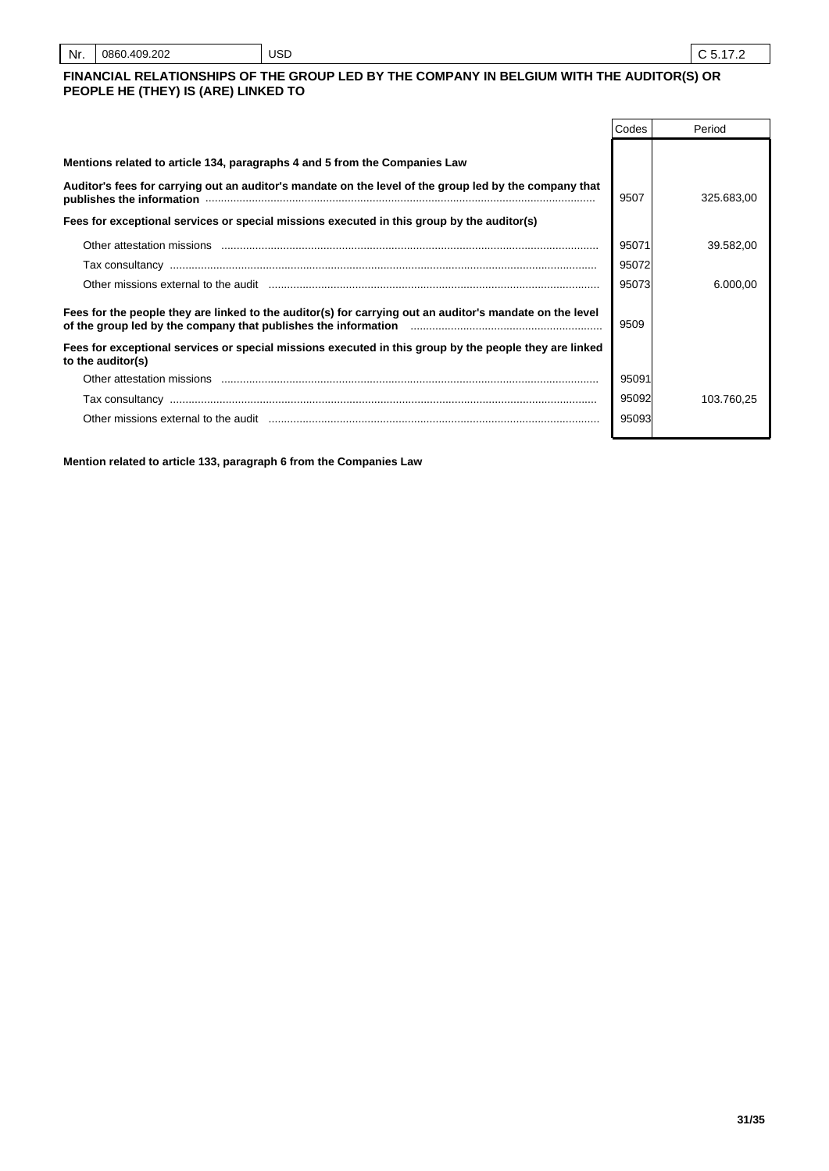| Nr. | 0860.409.202<br>___ | <b>USD</b> |  |
|-----|---------------------|------------|--|
|-----|---------------------|------------|--|

## **FINANCIAL RELATIONSHIPS OF THE GROUP LED BY THE COMPANY IN BELGIUM WITH THE AUDITOR(S) OR PEOPLE HE (THEY) IS (ARE) LINKED TO**

|                                                                                                                                                                                                                          | Codes | Period     |
|--------------------------------------------------------------------------------------------------------------------------------------------------------------------------------------------------------------------------|-------|------------|
| Mentions related to article 134, paragraphs 4 and 5 from the Companies Law                                                                                                                                               |       |            |
| Auditor's fees for carrying out an auditor's mandate on the level of the group led by the company that<br>publishes the information www.communication.com/news/communications/communications/communications/communicatio | 9507  | 325.683,00 |
| Fees for exceptional services or special missions executed in this group by the auditor(s)                                                                                                                               |       |            |
| Other attestation missions                                                                                                                                                                                               | 95071 | 39.582,00  |
|                                                                                                                                                                                                                          | 95072 |            |
| Other missions external to the audit measurement contained and contained and contained and contained and conta                                                                                                           | 95073 | 6.000.00   |
| Fees for the people they are linked to the auditor(s) for carrying out an auditor's mandate on the level<br>of the group led by the company that publishes the information <i>manumumumumumumumumum</i>                  | 9509  |            |
| Fees for exceptional services or special missions executed in this group by the people they are linked<br>to the auditor(s)                                                                                              |       |            |
| Other attestation missions                                                                                                                                                                                               | 95091 |            |
|                                                                                                                                                                                                                          | 95092 | 103.760.25 |
| Other missions external to the audit                                                                                                                                                                                     | 95093 |            |

**Mention related to article 133, paragraph 6 from the Companies Law**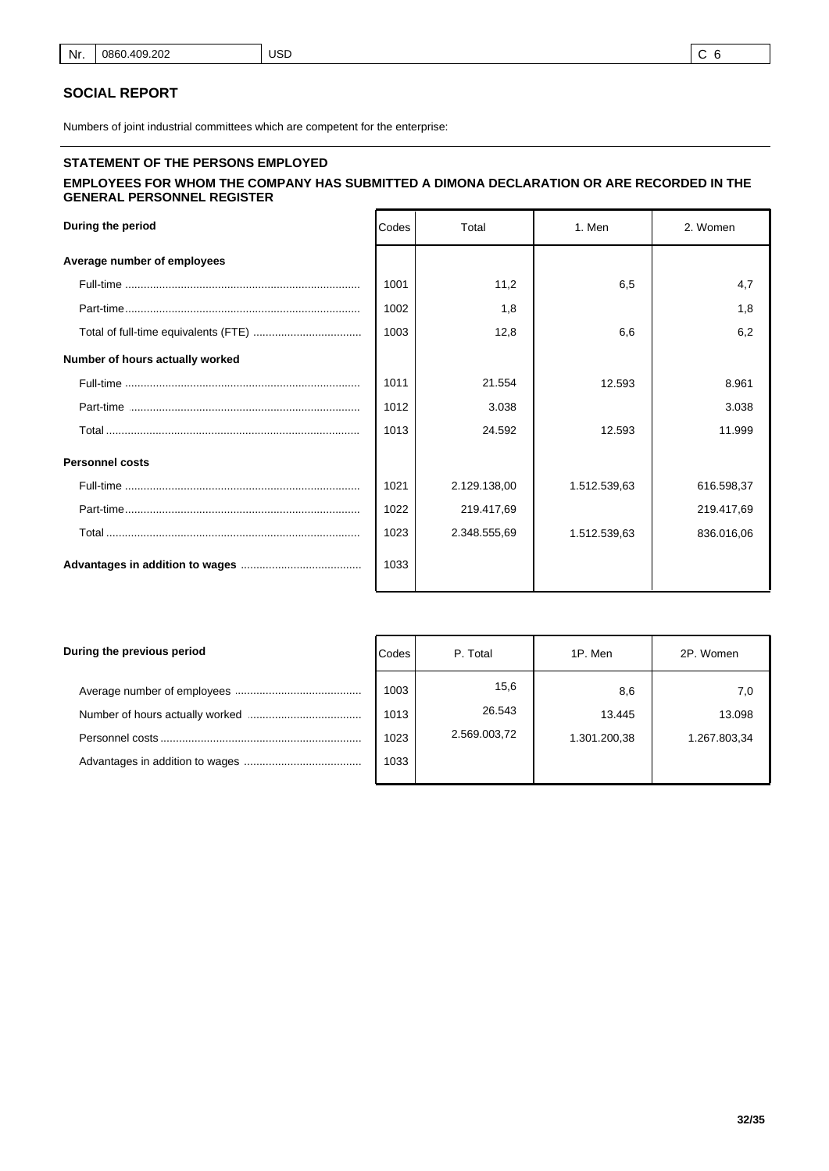#### **SOCIAL REPORT**

Numbers of joint industrial committees which are competent for the enterprise:

## **STATEMENT OF THE PERSONS EMPLOYED EMPLOYEES FOR WHOM THE COMPANY HAS SUBMITTED A DIMONA DECLARATION OR ARE RECORDED IN THE GENERAL PERSONNEL REGISTER**

| During the period               | Codes | Total        | 1. Men       | 2. Women   |
|---------------------------------|-------|--------------|--------------|------------|
| Average number of employees     |       |              |              |            |
|                                 | 1001  | 11,2         | 6,5          | 4,7        |
|                                 | 1002  | 1,8          |              | 1,8        |
|                                 | 1003  | 12,8         | 6,6          | 6,2        |
| Number of hours actually worked |       |              |              |            |
|                                 | 1011  | 21.554       | 12.593       | 8.961      |
|                                 | 1012  | 3.038        |              | 3.038      |
|                                 | 1013  | 24.592       | 12.593       | 11.999     |
| <b>Personnel costs</b>          |       |              |              |            |
|                                 | 1021  | 2.129.138,00 | 1.512.539,63 | 616.598,37 |
|                                 | 1022  | 219.417,69   |              | 219.417,69 |
|                                 | 1023  | 2.348.555,69 | 1.512.539,63 | 836.016,06 |
|                                 | 1033  |              |              |            |

| During the previous period | Codes                        | P. Total                       | 1P. Men                       | 2P. Women                     |
|----------------------------|------------------------------|--------------------------------|-------------------------------|-------------------------------|
|                            | 1003<br>1013<br>1023<br>1033 | 15,6<br>26.543<br>2.569.003,72 | 8,6<br>13.445<br>1.301.200,38 | 7,0<br>13.098<br>1.267.803,34 |
|                            |                              |                                |                               |                               |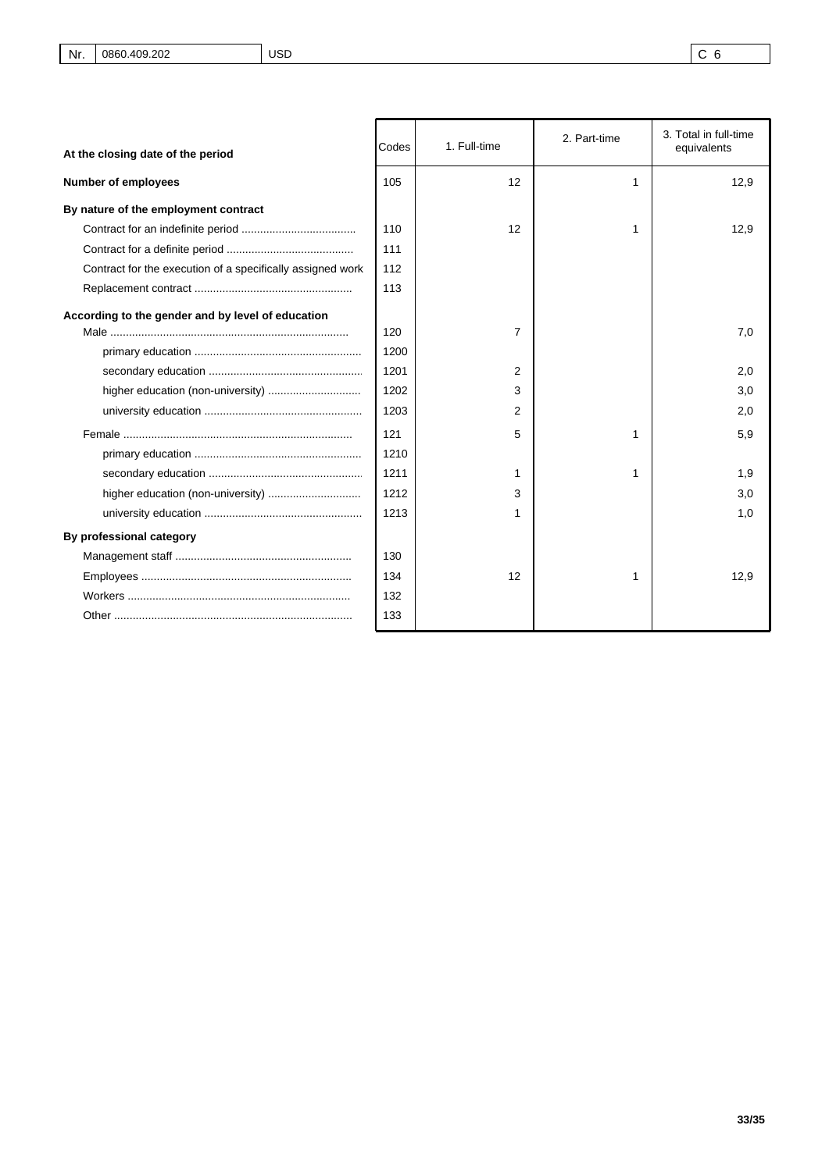| At the closing date of the period                          | Codes | 1. Full-time | 3. Total in full-time<br>2. Part-time<br>equivalents |      |
|------------------------------------------------------------|-------|--------------|------------------------------------------------------|------|
| <b>Number of employees</b>                                 | 105   | 12           | 1                                                    | 12,9 |
| By nature of the employment contract                       |       |              |                                                      |      |
|                                                            | 110   | 12           | 1                                                    | 12,9 |
|                                                            | 111   |              |                                                      |      |
| Contract for the execution of a specifically assigned work | 112   |              |                                                      |      |
|                                                            | 113   |              |                                                      |      |
| According to the gender and by level of education          | 120   | 7            |                                                      | 7,0  |
|                                                            | 1200  |              |                                                      |      |
|                                                            | 1201  | 2            |                                                      | 2,0  |
| higher education (non-university)                          | 1202  | 3            |                                                      | 3,0  |
|                                                            | 1203  | 2            |                                                      | 2,0  |
|                                                            | 121   | 5            | 1                                                    | 5,9  |
|                                                            | 1210  |              |                                                      |      |
|                                                            | 1211  | 1            | 1                                                    | 1,9  |
|                                                            | 1212  | 3            |                                                      | 3,0  |
|                                                            | 1213  | 1            |                                                      | 1,0  |
| By professional category                                   |       |              |                                                      |      |
|                                                            | 130   |              |                                                      |      |
|                                                            | 134   | 12           | 1                                                    | 12,9 |
|                                                            | 132   |              |                                                      |      |
|                                                            | 133   |              |                                                      |      |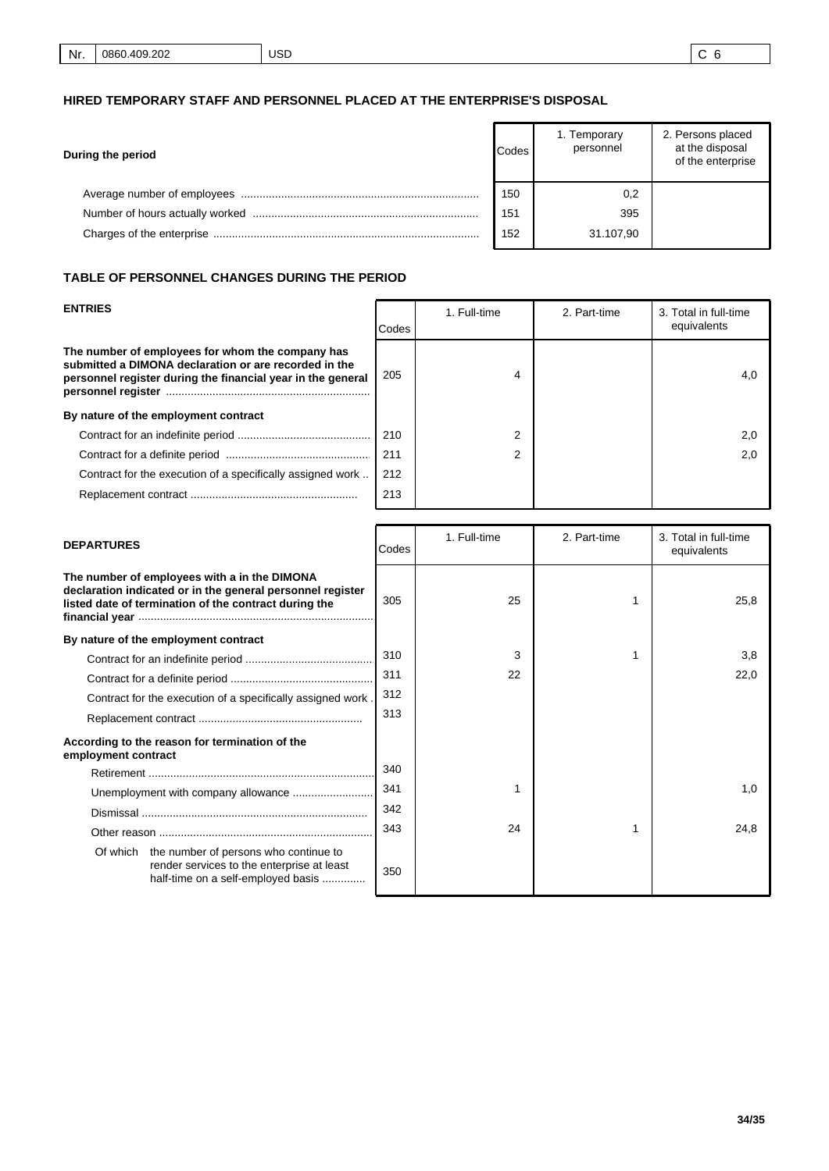## **HIRED TEMPORARY STAFF AND PERSONNEL PLACED AT THE ENTERPRISE'S DISPOSAL**

| During the period | <b>Codes</b> | 1. Temporary<br>personnel | 2. Persons placed<br>at the disposal<br>of the enterprise |
|-------------------|--------------|---------------------------|-----------------------------------------------------------|
|                   | 150          | 0,2                       |                                                           |
|                   | 151          | 395                       |                                                           |
|                   | 152          | 31.107.90                 |                                                           |

## **TABLE OF PERSONNEL CHANGES DURING THE PERIOD**

| <b>ENTRIES</b>                                                                                                                                                           | Codes | 1. Full-time | 2. Part-time | 3. Total in full-time<br>equivalents |
|--------------------------------------------------------------------------------------------------------------------------------------------------------------------------|-------|--------------|--------------|--------------------------------------|
| The number of employees for whom the company has<br>submitted a DIMONA declaration or are recorded in the<br>personnel register during the financial year in the general | 205   | 4            |              | 4.0                                  |
| By nature of the employment contract                                                                                                                                     |       |              |              |                                      |
|                                                                                                                                                                          | 210   | 2            |              | 2.0                                  |
|                                                                                                                                                                          | 211   | 2            |              | 2,0                                  |
| Contract for the execution of a specifically assigned work                                                                                                               | 212   |              |              |                                      |
|                                                                                                                                                                          | 213   |              |              |                                      |

| <b>DEPARTURES</b>                                                                                                                                                   | Codes | 1. Full-time | 2. Part-time | 3. Total in full-time<br>equivalents |  |
|---------------------------------------------------------------------------------------------------------------------------------------------------------------------|-------|--------------|--------------|--------------------------------------|--|
| The number of employees with a in the DIMONA<br>declaration indicated or in the general personnel register<br>listed date of termination of the contract during the |       | 25           |              | 25,8                                 |  |
| By nature of the employment contract                                                                                                                                |       |              |              |                                      |  |
|                                                                                                                                                                     | 310   | 3            |              | 3,8                                  |  |
|                                                                                                                                                                     | 311   | 22           |              | 22,0                                 |  |
| Contract for the execution of a specifically assigned work.                                                                                                         | 312   |              |              |                                      |  |
|                                                                                                                                                                     | 313   |              |              |                                      |  |
| According to the reason for termination of the<br>employment contract                                                                                               |       |              |              |                                      |  |
|                                                                                                                                                                     | 340   |              |              |                                      |  |
|                                                                                                                                                                     | 341   |              |              | 1,0                                  |  |
|                                                                                                                                                                     | 342   |              |              |                                      |  |
|                                                                                                                                                                     | 343   | 24           |              | 24,8                                 |  |
| Of which the number of persons who continue to<br>render services to the enterprise at least<br>half-time on a self-employed basis                                  | 350   |              |              |                                      |  |